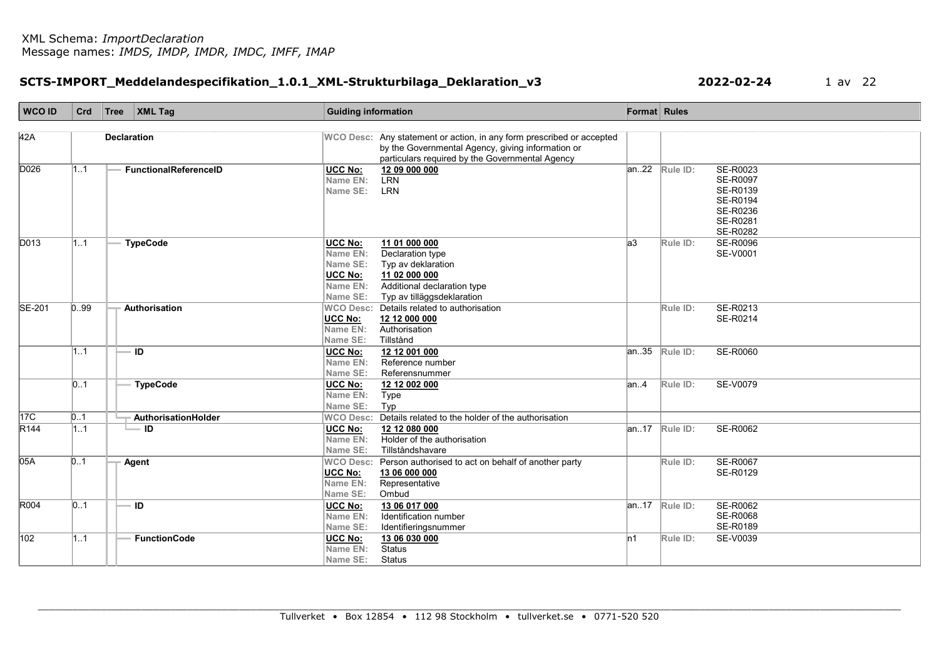# SCTS-IMPORT\_Meddelandespecifikation\_1.0.1\_XML-Strukturbilaga\_Deklaration\_v3 2022-02-24 1 av 22

| <b>WCO ID</b>                       | Crd                     | Tree               | $\vert$ XML Tag              | <b>Guiding information</b>                                                       |                                                                                                                                       | Format Rules |                    |                                                                                         |
|-------------------------------------|-------------------------|--------------------|------------------------------|----------------------------------------------------------------------------------|---------------------------------------------------------------------------------------------------------------------------------------|--------------|--------------------|-----------------------------------------------------------------------------------------|
| 42A                                 |                         | <b>Declaration</b> |                              |                                                                                  | WCO Desc: Any statement or action, in any form prescribed or accepted                                                                 |              |                    |                                                                                         |
|                                     |                         |                    |                              |                                                                                  | by the Governmental Agency, giving information or<br>particulars required by the Governmental Agency                                  |              |                    |                                                                                         |
| D026                                | 11                      |                    | <b>FunctionalReferenceID</b> | <b>UCC No:</b><br>Name EN:<br>Name SE:                                           | 12 09 000 000<br><b>LRN</b><br><b>LRN</b>                                                                                             |              | $an.22$ Rule ID:   | SE-R0023<br><b>SE-R0097</b><br>SE-R0139<br>SE-R0194<br>SE-R0236<br>SE-R0281<br>SE-R0282 |
| D013                                | 1.1                     |                    | <b>TypeCode</b>              | <b>UCC No:</b><br>Name EN:<br>Name SE:<br><b>UCC No:</b><br>Name EN:<br>Name SE: | 11 01 000 000<br>Declaration type<br>Typ av deklaration<br>11 02 000 000<br>Additional declaration type<br>Typ av tilläggsdeklaration | a3           | Rule ID:           | <b>SE-R0096</b><br>SE-V0001                                                             |
| SE-201                              | 0.99                    |                    | Authorisation                | <b>WCO Desc:</b><br><b>UCC No:</b><br>Name EN:<br>Name SE:                       | Details related to authorisation<br>12 12 000 000<br>Authorisation<br>Tillstånd                                                       |              | Rule ID:           | SE-R0213<br>SE-R0214                                                                    |
|                                     | 1.1                     |                    | ID                           | <b>UCC No:</b><br>Name EN:<br>Name SE:                                           | 12 12 001 000<br>Reference number<br>Referensnummer                                                                                   | an35         | Rule ID:           | SE-R0060                                                                                |
|                                     | 0.1                     |                    | <b>TypeCode</b>              | <b>UCC No:</b><br>Name EN:<br>Name SE:                                           | 12 12 002 000<br>Type<br>Typ                                                                                                          | an.4         | Rule ID:           | <b>SE-V0079</b>                                                                         |
| 17 <sub>C</sub><br>R <sub>144</sub> | $\vert 01 \vert$<br>1.1 |                    | AuthorisationHolder<br>— ID  | <b>UCC No:</b><br>Name EN:<br>Name SE:                                           | WCO Desc: Details related to the holder of the authorisation<br>12 12 080 000<br>Holder of the authorisation<br>Tillståndshavare      | lan17        | Rule ID:           | SE-R0062                                                                                |
| 05A                                 | 01                      |                    | Agent                        | <b>WCO Desc:</b><br><b>UCC No:</b><br>Name EN:<br>Name SE:                       | Person authorised to act on behalf of another party<br>13 06 000 000<br>Representative<br>Ombud                                       |              | Rule ID:           | <b>SE-R0067</b><br>SE-R0129                                                             |
| R004                                | $\vert$ 01              |                    | ID                           | <b>UCC No:</b><br>Name EN:<br>Name SE:                                           | 13 06 017 000<br>Identification number<br>Identifieringsnummer                                                                        |              | $ an.17 $ Rule ID: | <b>SE-R0062</b><br><b>SE-R0068</b><br>SE-R0189                                          |
| 102                                 | 11                      |                    | <b>FunctionCode</b>          | UCC No:<br>Name EN:<br>Name SE:                                                  | 13 06 030 000<br><b>Status</b><br><b>Status</b>                                                                                       | In1          | Rule ID:           | SE-V0039                                                                                |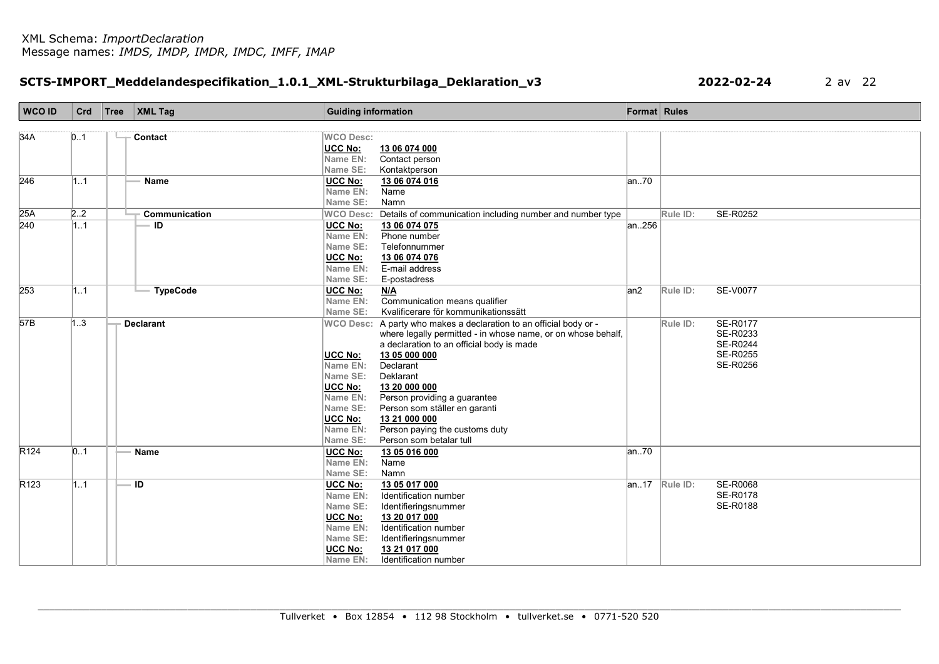### SCTS-IMPORT\_Meddelandespecifikation\_1.0.1\_XML-Strukturbilaga\_Deklaration\_v3 2022-02-24 2 av 22

| <b>WCO ID</b>    | Crd | Tree   XML Tag   | <b>Guiding information</b> |                                                                                                                                    | <b>Format</b> Rules |                  |                 |
|------------------|-----|------------------|----------------------------|------------------------------------------------------------------------------------------------------------------------------------|---------------------|------------------|-----------------|
|                  |     |                  |                            |                                                                                                                                    |                     |                  |                 |
| 34A              | 0.1 | Contact          | <b>WCO Desc:</b>           |                                                                                                                                    |                     |                  |                 |
|                  |     |                  | <b>UCC No:</b>             | 13 06 074 000                                                                                                                      |                     |                  |                 |
|                  |     |                  | Name EN:                   | Contact person                                                                                                                     |                     |                  |                 |
|                  |     |                  | Name SE:                   | Kontaktperson                                                                                                                      |                     |                  |                 |
| 246              | 11  | <b>Name</b>      | <b>UCC No:</b>             | 13 06 074 016                                                                                                                      | an.70               |                  |                 |
|                  |     |                  | Name EN:                   | Name                                                                                                                               |                     |                  |                 |
|                  |     |                  | Name SE:                   | Namn                                                                                                                               |                     |                  |                 |
| 25A              | 2.2 | Communication    |                            | WCO Desc: Details of communication including number and number type                                                                |                     | Rule ID:         | SE-R0252        |
| $\overline{240}$ | 1.1 | ID               | <b>UCC No:</b>             | 13 06 074 075                                                                                                                      | an.256              |                  |                 |
|                  |     |                  | Name EN:                   | Phone number                                                                                                                       |                     |                  |                 |
|                  |     |                  | Name SE:                   | Telefonnummer                                                                                                                      |                     |                  |                 |
|                  |     |                  | <b>UCC No:</b>             | 13 06 074 076                                                                                                                      |                     |                  |                 |
|                  |     |                  | Name EN:                   | E-mail address                                                                                                                     |                     |                  |                 |
|                  |     |                  | Name SE:                   | E-postadress                                                                                                                       |                     |                  |                 |
| 253              | 11  | <b>TypeCode</b>  | UCC No:                    | N/A                                                                                                                                | an2                 | Rule ID:         | <b>SE-V0077</b> |
|                  |     |                  | Name EN:<br>Name SE:       | Communication means qualifier<br>Kvalificerare för kommunikationssätt                                                              |                     |                  |                 |
| 57B              | 1.3 | <b>Declarant</b> |                            |                                                                                                                                    |                     |                  | <b>SE-R0177</b> |
|                  |     |                  |                            | WCO Desc: A party who makes a declaration to an official body or -<br>where legally permitted - in whose name, or on whose behalf, |                     | Rule ID:         | SE-R0233        |
|                  |     |                  |                            | a declaration to an official body is made                                                                                          |                     |                  | <b>SE-R0244</b> |
|                  |     |                  | <b>UCC No:</b>             | 13 05 000 000                                                                                                                      |                     |                  | <b>SE-R0255</b> |
|                  |     |                  | Name EN:                   | Declarant                                                                                                                          |                     |                  | <b>SE-R0256</b> |
|                  |     |                  | <b>Name SE:</b>            | Deklarant                                                                                                                          |                     |                  |                 |
|                  |     |                  | UCC No:                    | 13 20 000 000                                                                                                                      |                     |                  |                 |
|                  |     |                  | Name EN:                   | Person providing a guarantee                                                                                                       |                     |                  |                 |
|                  |     |                  | Name SE:                   | Person som ställer en garanti                                                                                                      |                     |                  |                 |
|                  |     |                  | <b>UCC No:</b>             | 13 21 000 000                                                                                                                      |                     |                  |                 |
|                  |     |                  | Name EN:                   | Person paying the customs duty                                                                                                     |                     |                  |                 |
|                  |     |                  | <b>Name SE:</b>            | Person som betalar tull                                                                                                            |                     |                  |                 |
| R <sub>124</sub> | 01  | <b>Name</b>      | <b>UCC No:</b>             | 13 05 016 000                                                                                                                      | an70                |                  |                 |
|                  |     |                  | Name EN:                   | Name                                                                                                                               |                     |                  |                 |
|                  |     |                  | Name SE:                   | Namn                                                                                                                               |                     |                  |                 |
| R <sub>123</sub> | 1.1 | $\overline{ID}$  | UCC No:                    | 13 05 017 000                                                                                                                      |                     | $an.17$ Rule ID: | <b>SE-R0068</b> |
|                  |     |                  | Name EN:                   | Identification number                                                                                                              |                     |                  | SE-R0178        |
|                  |     |                  | Name SE:                   | Identifieringsnummer                                                                                                               |                     |                  | SE-R0188        |
|                  |     |                  | <b>UCC No:</b>             | 13 20 017 000                                                                                                                      |                     |                  |                 |
|                  |     |                  | Name EN:                   | Identification number                                                                                                              |                     |                  |                 |
|                  |     |                  | Name SE:                   | Identifieringsnummer                                                                                                               |                     |                  |                 |
|                  |     |                  | <b>UCC No:</b>             | 13 21 017 000                                                                                                                      |                     |                  |                 |
|                  |     |                  | Name EN:                   | Identification number                                                                                                              |                     |                  |                 |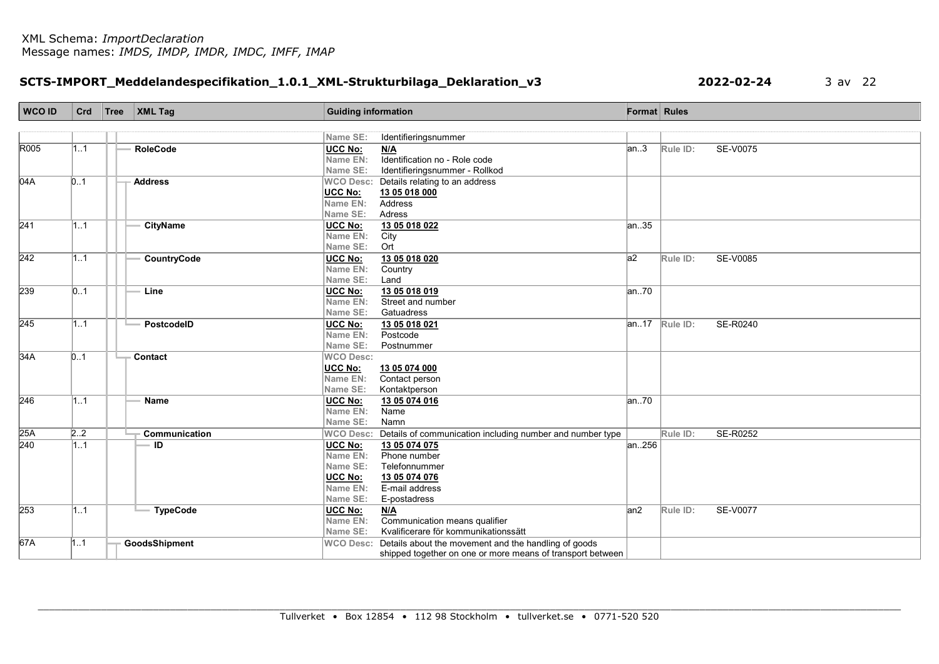# SCTS-IMPORT\_Meddelandespecifikation\_1.0.1\_XML-Strukturbilaga\_Deklaration\_v3 2022-02-24 3 av 22

| <b>WCO ID</b> | Crd | Tree | $\mathsf{XML}$ Tag   | <b>Guiding information</b> |                                                                | Format Rules |                         |          |
|---------------|-----|------|----------------------|----------------------------|----------------------------------------------------------------|--------------|-------------------------|----------|
|               |     |      |                      |                            |                                                                |              |                         |          |
|               |     |      |                      | Name SE:                   | Identifieringsnummer                                           |              |                         |          |
| R005          | 1.1 |      | <b>RoleCode</b>      | <b>UCC No:</b>             | N/A                                                            | an.3         | Rule ID:                | SE-V0075 |
|               |     |      |                      | Name EN:                   | Identification no - Role code                                  |              |                         |          |
|               |     |      |                      | Name SE:                   | Identifieringsnummer - Rollkod                                 |              |                         |          |
| 04A           | 0.1 |      | <b>Address</b>       |                            | WCO Desc: Details relating to an address                       |              |                         |          |
|               |     |      |                      | UCC No:                    | 13 05 018 000                                                  |              |                         |          |
|               |     |      |                      | Name EN:                   | Address                                                        |              |                         |          |
|               |     |      |                      | Name SE:                   | Adress                                                         |              |                         |          |
| 241           | 11  |      | <b>CityName</b>      | UCC No:                    | 13 05 018 022                                                  | an35         |                         |          |
|               |     |      |                      | Name EN:                   | City                                                           |              |                         |          |
|               |     |      |                      | Name SE:                   | Ort                                                            |              |                         |          |
| 242           | 11  |      | CountryCode          | UCC No:                    | 13 05 018 020                                                  | a2           | Rule ID:                | SE-V0085 |
|               |     |      |                      | Name EN:                   | Country                                                        |              |                         |          |
|               |     |      |                      | Name SE:                   | Land                                                           |              |                         |          |
| 239           | 0.1 |      | Line                 | UCC No:                    | 13 05 018 019                                                  | an70         |                         |          |
|               |     |      |                      | Name EN:                   | Street and number                                              |              |                         |          |
|               |     |      |                      | Name SE:                   | Gatuadress                                                     |              |                         |          |
| 245           | 1.1 |      | PostcodelD           | UCC No:                    | 13 05 018 021                                                  |              | $\sqrt{an.17}$ Rule ID: | SE-R0240 |
|               |     |      |                      | Name EN:                   | Postcode                                                       |              |                         |          |
|               |     |      |                      | Name SE:                   | Postnummer                                                     |              |                         |          |
| 34A           | 0.1 |      | Contact              | <b>WCO Desc:</b>           |                                                                |              |                         |          |
|               |     |      |                      | UCC No:                    | 13 05 074 000                                                  |              |                         |          |
|               |     |      |                      | Name EN:                   | Contact person                                                 |              |                         |          |
|               |     |      |                      | Name SE:                   | Kontaktperson                                                  |              |                         |          |
| 246           | 11  |      | Name                 | UCC No:                    | 13 05 074 016                                                  | an.70        |                         |          |
|               |     |      |                      | Name EN:                   | Name                                                           |              |                         |          |
|               |     |      |                      | Name SE:                   | Namn                                                           |              |                         |          |
| 25A           | 2.2 |      | <b>Communication</b> | <b>WCO Desc:</b>           | Details of communication including number and number type      |              | Rule ID:                | SE-R0252 |
| 240           | 11  |      | ID                   | UCC No:                    | 13 05 074 075                                                  | an256        |                         |          |
|               |     |      |                      | Name EN:                   | Phone number                                                   |              |                         |          |
|               |     |      |                      | Name SE:                   | Telefonnummer                                                  |              |                         |          |
|               |     |      |                      | UCC No:<br>Name EN:        | 13 05 074 076<br>E-mail address                                |              |                         |          |
|               |     |      |                      | Name SE:                   | E-postadress                                                   |              |                         |          |
|               |     |      |                      |                            |                                                                |              |                         |          |
| 253           | 11  |      | <b>TypeCode</b>      | <b>UCC No:</b><br>Name EN: | N/A<br>Communication means qualifier                           | an2          | Rule ID:                | SE-V0077 |
|               |     |      |                      | Name SE:                   | Kvalificerare för kommunikationssätt                           |              |                         |          |
| 67A           | 1.1 |      | GoodsShipment        |                            | WCO Desc: Details about the movement and the handling of goods |              |                         |          |
|               |     |      |                      |                            | shipped together on one or more means of transport between     |              |                         |          |
|               |     |      |                      |                            |                                                                |              |                         |          |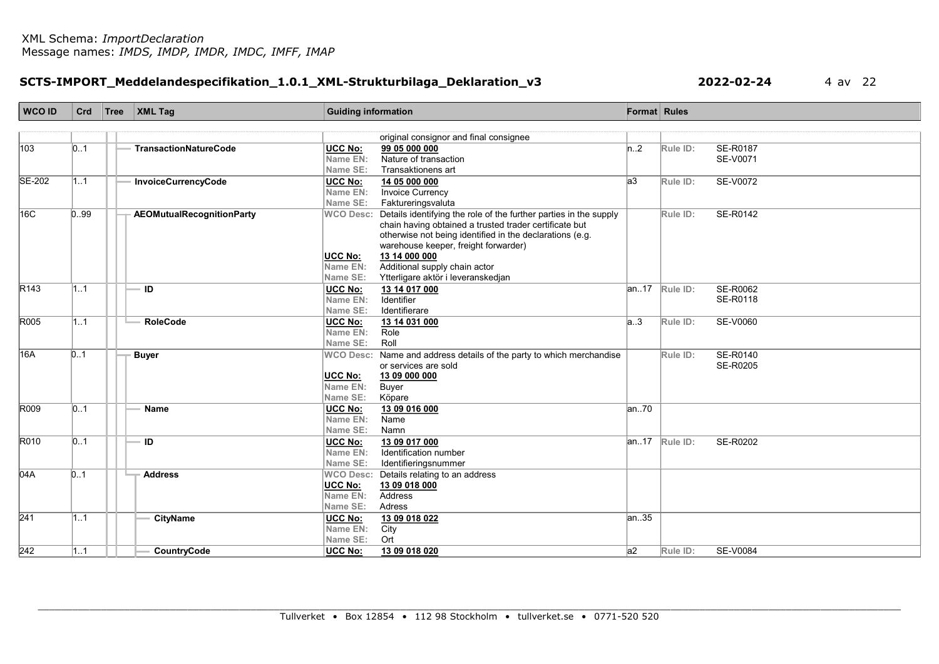# SCTS-IMPORT\_Meddelandespecifikation\_1.0.1\_XML-Strukturbilaga\_Deklaration\_v3 2022-02-24 4 av 22

| <b>WCO ID</b>    | Crd  | Tree | $\vert$ XML Tag                  | <b>Guiding information</b> |                                                                             | <b>Format</b> Rules |                    |                 |
|------------------|------|------|----------------------------------|----------------------------|-----------------------------------------------------------------------------|---------------------|--------------------|-----------------|
|                  |      |      |                                  |                            |                                                                             |                     |                    |                 |
|                  |      |      |                                  |                            | original consignor and final consignee                                      |                     |                    |                 |
| 103              | 01   |      | <b>TransactionNatureCode</b>     | <b>UCC No:</b>             | 99 05 000 000                                                               | n.2                 | Rule ID:           | SE-R0187        |
|                  |      |      |                                  | Name EN:                   | Nature of transaction                                                       |                     |                    | SE-V0071        |
|                  |      |      |                                  | Name SE:                   | Transaktionens art                                                          |                     |                    |                 |
| SE-202           | 1.1  |      | InvoiceCurrencyCode              | <b>UCC No:</b>             | 14 05 000 000                                                               | a3                  | Rule ID:           | SE-V0072        |
|                  |      |      |                                  | Name EN:                   | <b>Invoice Currency</b>                                                     |                     |                    |                 |
|                  |      |      |                                  | Name SE:                   | Faktureringsvaluta                                                          |                     |                    |                 |
| 16C              | 0.99 |      | <b>AEOMutualRecognitionParty</b> |                            | WCO Desc: Details identifying the role of the further parties in the supply |                     | Rule ID:           | SE-R0142        |
|                  |      |      |                                  |                            | chain having obtained a trusted trader certificate but                      |                     |                    |                 |
|                  |      |      |                                  |                            | otherwise not being identified in the declarations (e.g.                    |                     |                    |                 |
|                  |      |      |                                  |                            | warehouse keeper, freight forwarder)                                        |                     |                    |                 |
|                  |      |      |                                  | UCC No:                    | 13 14 000 000                                                               |                     |                    |                 |
|                  |      |      |                                  | Name EN:                   | Additional supply chain actor                                               |                     |                    |                 |
|                  |      |      |                                  | Name SE:                   | Ytterligare aktör i leveranskedjan                                          |                     |                    |                 |
| R <sub>143</sub> | 1.1  |      | ID                               | <b>UCC No:</b>             | 13 14 017 000                                                               |                     | $ an.17 $ Rule ID: | <b>SE-R0062</b> |
|                  |      |      |                                  | Name EN:                   | Identifier                                                                  |                     |                    | SE-R0118        |
|                  |      |      |                                  | Name SE:                   | Identifierare                                                               |                     |                    |                 |
| R005             | 1.1  |      | <b>RoleCode</b>                  | <b>UCC No:</b>             | 13 14 031 000                                                               | a3                  | Rule ID:           | SE-V0060        |
|                  |      |      |                                  | Name EN:                   | Role                                                                        |                     |                    |                 |
|                  |      |      |                                  | Name SE:                   | Roll                                                                        |                     |                    |                 |
| 16A              | 0.1  |      | <b>Buyer</b>                     | <b>WCO Desc:</b>           | Name and address details of the party to which merchandise                  |                     | Rule ID:           | SE-R0140        |
|                  |      |      |                                  |                            | or services are sold                                                        |                     |                    | SE-R0205        |
|                  |      |      |                                  | <b>UCC No:</b>             | 13 09 000 000                                                               |                     |                    |                 |
|                  |      |      |                                  | Name EN:                   | <b>Buyer</b>                                                                |                     |                    |                 |
|                  |      |      |                                  | Name SE:                   | Köpare                                                                      |                     |                    |                 |
| R009             | 0.1  |      | <b>Name</b>                      | <b>UCC No:</b>             | 13 09 016 000                                                               | an.70               |                    |                 |
|                  |      |      |                                  | Name EN:                   | Name                                                                        |                     |                    |                 |
|                  |      |      |                                  | Name SE:                   | Namn                                                                        |                     |                    |                 |
| R010             | 01   |      | ID                               | UCC No:                    | 13 09 017 000                                                               |                     | $ an.17 $ Rule ID: | SE-R0202        |
|                  |      |      |                                  | Name EN:                   | Identification number                                                       |                     |                    |                 |
|                  |      |      |                                  | Name SE:                   | Identifieringsnummer                                                        |                     |                    |                 |
| 04A              | 0.1  |      | <b>Address</b>                   | <b>WCO Desc:</b>           | Details relating to an address                                              |                     |                    |                 |
|                  |      |      |                                  | <b>UCC No:</b>             | 13 09 018 000                                                               |                     |                    |                 |
|                  |      |      |                                  | Name EN:                   | Address                                                                     |                     |                    |                 |
|                  |      |      |                                  | Name SE:                   | Adress                                                                      |                     |                    |                 |
| $\overline{241}$ | 1.1  |      | <b>CityName</b>                  | <b>UCC No:</b>             | 13 09 018 022                                                               | an.35               |                    |                 |
|                  |      |      |                                  | Name EN:                   | City                                                                        |                     |                    |                 |
|                  |      |      |                                  | Name SE:                   | Ort                                                                         |                     |                    |                 |
| $\overline{242}$ | 11   |      | CountryCode                      | <b>UCC No:</b>             | 13 09 018 020                                                               | a2                  | Rule ID:           | <b>SE-V0084</b> |
|                  |      |      |                                  |                            |                                                                             |                     |                    |                 |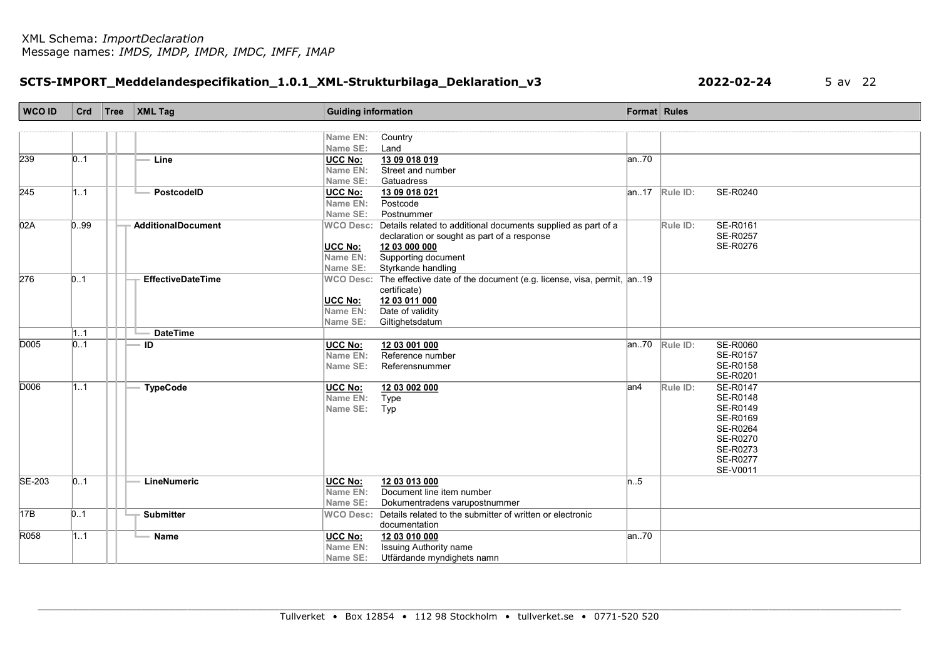# SCTS-IMPORT\_Meddelandespecifikation\_1.0.1\_XML-Strukturbilaga\_Deklaration\_v3 2022-02-24 5 av 22

| <b>WCO ID</b> | Crd  | $Tree$ XML Tag            | <b>Guiding information</b>                                                                     | Format Rules |                                |
|---------------|------|---------------------------|------------------------------------------------------------------------------------------------|--------------|--------------------------------|
|               |      |                           |                                                                                                |              |                                |
|               |      |                           | Name EN:<br>Country                                                                            |              |                                |
|               |      |                           | Name SE:<br>Land                                                                               |              |                                |
| 239           | 0.1  | Line                      | UCC No:<br>13 09 018 019                                                                       | an.70        |                                |
|               |      |                           | Name EN:<br>Street and number                                                                  |              |                                |
|               |      |                           | Name SE:<br>Gatuadress                                                                         |              |                                |
| 245           | 11   | PostcodelD                | <b>UCC No:</b><br>13 09 018 021                                                                |              | $ an.17 $ Rule ID:<br>SE-R0240 |
|               |      |                           | Postcode<br>Name EN:                                                                           |              |                                |
|               |      |                           | Name SE:<br>Postnummer                                                                         |              |                                |
| 02A           | 0.99 | <b>AdditionalDocument</b> | WCO Desc: Details related to additional documents supplied as part of a                        |              | <b>SE-R0161</b><br>Rule ID:    |
|               |      |                           | declaration or sought as part of a response                                                    |              | SE-R0257                       |
|               |      |                           | UCC No:<br>12 03 000 000                                                                       |              | SE-R0276                       |
|               |      |                           | Name EN:<br>Supporting document                                                                |              |                                |
|               |      |                           | Name SE:<br>Styrkande handling                                                                 |              |                                |
| 276           | 01   | <b>EffectiveDateTime</b>  | WCO Desc: The effective date of the document (e.g. license, visa, permit, an19<br>certificate) |              |                                |
|               |      |                           | 12 03 011 000<br>UCC No:                                                                       |              |                                |
|               |      |                           | Name EN:<br>Date of validity                                                                   |              |                                |
|               |      |                           | Name SE:<br>Giltighetsdatum                                                                    |              |                                |
|               | 1.1  | <b>DateTime</b>           |                                                                                                |              |                                |
| D005          | 0.1  | ID                        | UCC No:<br>12 03 001 000                                                                       |              | $ an.70 $ Rule ID:<br>SE-R0060 |
|               |      |                           | Reference number<br>Name EN:                                                                   |              | SE-R0157                       |
|               |      |                           | Name SE:<br>Referensnummer                                                                     |              | SE-R0158                       |
|               |      |                           |                                                                                                |              | SE-R0201                       |
| D006          | 11   | <b>TypeCode</b>           | UCC No:<br>12 03 002 000                                                                       | an4          | SE-R0147<br>Rule ID:           |
|               |      |                           | Name EN:<br>Type                                                                               |              | SE-R0148                       |
|               |      |                           | Name SE:<br>Typ                                                                                |              | SE-R0149                       |
|               |      |                           |                                                                                                |              | SE-R0169                       |
|               |      |                           |                                                                                                |              | SE-R0264<br>SE-R0270           |
|               |      |                           |                                                                                                |              | SE-R0273                       |
|               |      |                           |                                                                                                |              | SE-R0277                       |
|               |      |                           |                                                                                                |              | SE-V0011                       |
| <b>SE-203</b> | 01   | LineNumeric               | UCC No:<br>12 03 013 000                                                                       | n.5          |                                |
|               |      |                           | Document line item number<br>Name EN:                                                          |              |                                |
|               |      |                           | Name SE:<br>Dokumentradens varupostnummer                                                      |              |                                |
| 17B           | 0.1  | <b>Submitter</b>          | WCO Desc: Details related to the submitter of written or electronic                            |              |                                |
|               |      |                           | documentation                                                                                  |              |                                |
| R058          | 1.1  | - Name                    | 12 03 010 000<br>UCC No:                                                                       | an.70        |                                |
|               |      |                           | Name EN:<br>Issuing Authority name                                                             |              |                                |
|               |      |                           | Name SE:<br>Utfärdande myndighets namn                                                         |              |                                |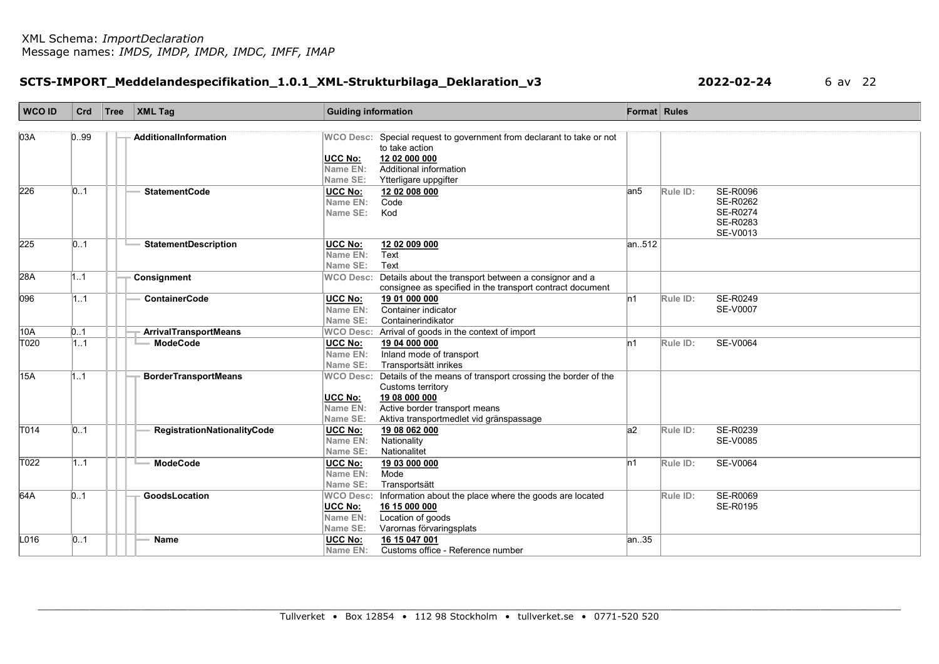# SCTS-IMPORT\_Meddelandespecifikation\_1.0.1\_XML-Strukturbilaga\_Deklaration\_v3 2022-02-24 6 av 22

| WCO ID | Crd               | Tree | $\mathsf{XML}$ Tag           | <b>Guiding information</b> |                                                                                         | Format Rules |          |                 |
|--------|-------------------|------|------------------------------|----------------------------|-----------------------------------------------------------------------------------------|--------------|----------|-----------------|
| 03A    |                   |      |                              |                            |                                                                                         |              |          |                 |
|        | 0.99              |      | AdditionalInformation        |                            | WCO Desc: Special request to government from declarant to take or not<br>to take action |              |          |                 |
|        |                   |      |                              | UCC No:                    | 12 02 000 000                                                                           |              |          |                 |
|        |                   |      |                              | Name EN:                   | Additional information                                                                  |              |          |                 |
|        |                   |      |                              | Name SE:                   | Ytterligare uppgifter                                                                   |              |          |                 |
| 226    | 0.1               |      | <b>StatementCode</b>         | <b>UCC No:</b>             | 12 02 008 000                                                                           | an5          | Rule ID: | <b>SE-R0096</b> |
|        |                   |      |                              | Name EN:                   | Code                                                                                    |              |          | SE-R0262        |
|        |                   |      |                              | Name SE:                   | Kod                                                                                     |              |          | <b>SE-R0274</b> |
|        |                   |      |                              |                            |                                                                                         |              |          | SE-R0283        |
|        |                   |      |                              |                            |                                                                                         |              |          | SE-V0013        |
| 225    | $\vert 0.1 \vert$ |      | <b>StatementDescription</b>  | <b>UCC No:</b>             | 12 02 009 000                                                                           | an512        |          |                 |
|        |                   |      |                              | Name EN:                   | Text                                                                                    |              |          |                 |
|        |                   |      |                              | Name SE:                   | Text                                                                                    |              |          |                 |
| 28A    | 11                |      | Consignment                  | <b>WCO Desc:</b>           | Details about the transport between a consignor and a                                   |              |          |                 |
|        |                   |      |                              |                            | consignee as specified in the transport contract document                               |              |          |                 |
| 096    | 11                |      | <b>ContainerCode</b>         | <b>UCC No:</b>             | 19 01 000 000                                                                           | ln 1         | Rule ID: | SE-R0249        |
|        |                   |      |                              | Name EN:                   | Container indicator                                                                     |              |          | <b>SE-V0007</b> |
|        |                   |      |                              | Name SE:                   | Containerindikator                                                                      |              |          |                 |
| 10A    | 0.1               |      | <b>ArrivalTransportMeans</b> |                            | WCO Desc: Arrival of goods in the context of import                                     |              |          |                 |
| T020   | 1.1               |      | <b>ModeCode</b>              | <b>UCC No:</b>             | 19 04 000 000                                                                           | ln 1         | Rule ID: | <b>SE-V0064</b> |
|        |                   |      |                              | Name EN:                   | Inland mode of transport                                                                |              |          |                 |
|        |                   |      |                              | Name SE:                   | Transportsätt inrikes                                                                   |              |          |                 |
| 15A    | 1.1               |      | <b>BorderTransportMeans</b>  | <b>WCO Desc:</b>           | Details of the means of transport crossing the border of the                            |              |          |                 |
|        |                   |      |                              |                            | Customs territory                                                                       |              |          |                 |
|        |                   |      |                              | <b>UCC No:</b>             | 19 08 000 000                                                                           |              |          |                 |
|        |                   |      |                              | Name EN:                   | Active border transport means                                                           |              |          |                 |
|        |                   |      |                              | Name SE:                   | Aktiva transportmedlet vid gränspassage                                                 |              |          |                 |
| T014   | $\vert 0.1 \vert$ |      | RegistrationNationalityCode  | <b>UCC No:</b>             | 19 08 062 000                                                                           | a2           | Rule ID: | SE-R0239        |
|        |                   |      |                              | Name EN:                   | Nationality                                                                             |              |          | <b>SE-V0085</b> |
|        |                   |      |                              | Name SE:                   | Nationalitet                                                                            |              |          |                 |
| T022   | 11                |      | <b>ModeCode</b>              | UCC No:                    | 19 03 000 000                                                                           | ln 1         | Rule ID: | SE-V0064        |
|        |                   |      |                              | Name EN:                   | Mode                                                                                    |              |          |                 |
|        |                   |      |                              | Name SE:                   | Transportsätt                                                                           |              |          |                 |
| 64A    | 0.1               |      | GoodsLocation                | <b>WCO Desc:</b>           | Information about the place where the goods are located                                 |              | Rule ID: | <b>SE-R0069</b> |
|        |                   |      |                              | <b>UCC No:</b>             | 16 15 000 000                                                                           |              |          | SE-R0195        |
|        |                   |      |                              | Name EN:                   | Location of goods                                                                       |              |          |                 |
|        |                   |      |                              | Name SE:                   | Varornas förvaringsplats                                                                |              |          |                 |
| L016   | 0.1               |      | <b>Name</b>                  | <b>UCC No:</b>             | 16 15 047 001                                                                           | an35         |          |                 |
|        |                   |      |                              | Name EN:                   | Customs office - Reference number                                                       |              |          |                 |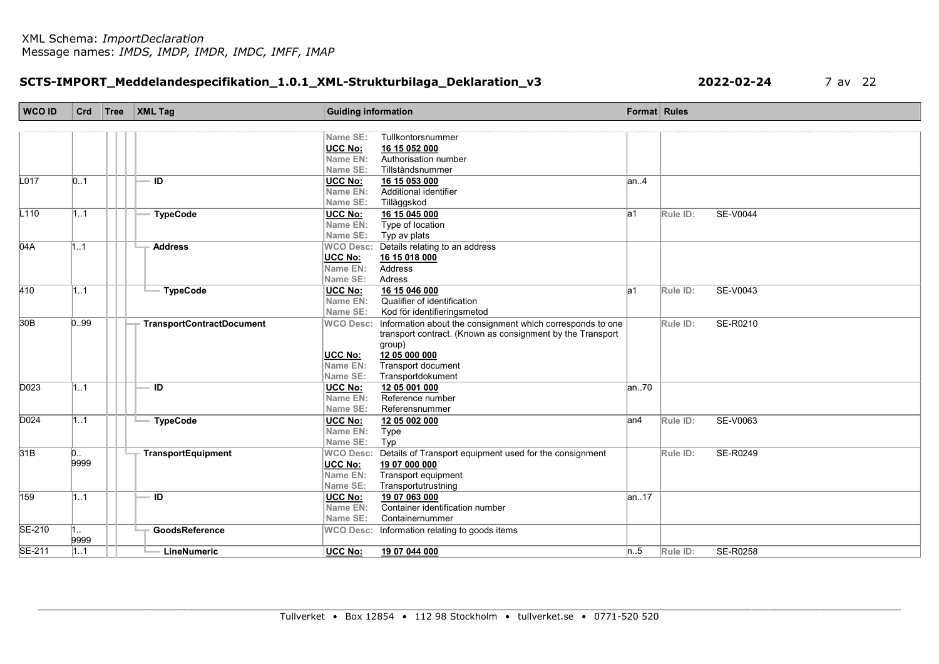### SCTS-IMPORT\_Meddelandespecifikation\_1.0.1\_XML-Strukturbilaga\_Deklaration\_v3 2022-02-24 7 av 22

| <b>WCO ID</b>    | Crd  | Tree   XML Tag                   | <b>Guiding information</b> |                                                            | Format Rules |          |                 |
|------------------|------|----------------------------------|----------------------------|------------------------------------------------------------|--------------|----------|-----------------|
|                  |      |                                  |                            |                                                            |              |          |                 |
|                  |      |                                  | Name SE:                   | Tullkontorsnummer                                          |              |          |                 |
|                  |      |                                  | <b>UCC No:</b>             | 16 15 052 000                                              |              |          |                 |
|                  |      |                                  | Name EN:                   | Authorisation number                                       |              |          |                 |
|                  |      |                                  | Name SE:                   | Tillståndsnummer                                           |              |          |                 |
| L <sub>017</sub> | 0.1  | ID                               | <b>UCC No:</b>             | 16 15 053 000                                              | an.4         |          |                 |
|                  |      |                                  | Name EN:                   | Additional identifier                                      |              |          |                 |
|                  |      |                                  | Name SE:                   | Tilläggskod                                                |              |          |                 |
| L110             | 1.1  | <b>TypeCode</b>                  | <b>UCC No:</b>             | 16 15 045 000                                              | la1          | Rule ID: | <b>SE-V0044</b> |
|                  |      |                                  | Name EN:                   | Type of location                                           |              |          |                 |
|                  |      |                                  | Name SE:                   | Typ av plats                                               |              |          |                 |
| 04A              | 11   | <b>Address</b>                   | <b>WCO Desc:</b>           | Details relating to an address                             |              |          |                 |
|                  |      |                                  | <b>UCC No:</b>             | 16 15 018 000                                              |              |          |                 |
|                  |      |                                  | Name EN:                   | Address                                                    |              |          |                 |
|                  |      |                                  | Name SE:                   | Adress                                                     |              |          |                 |
| 410              | 11   | <b>TypeCode</b>                  | UCC No:                    | 16 15 046 000                                              | la1          | Rule ID: | SE-V0043        |
|                  |      |                                  | Name EN:                   | Qualifier of identification                                |              |          |                 |
|                  |      |                                  | Name SE:                   | Kod för identifieringsmetod                                |              |          |                 |
| 30 <sub>B</sub>  | 0.99 | <b>TransportContractDocument</b> | <b>WCO Desc:</b>           | Information about the consignment which corresponds to one |              | Rule ID: | SE-R0210        |
|                  |      |                                  |                            | transport contract. (Known as consignment by the Transport |              |          |                 |
|                  |      |                                  |                            | group)                                                     |              |          |                 |
|                  |      |                                  | <b>UCC No:</b>             | 12 05 000 000                                              |              |          |                 |
|                  |      |                                  | Name EN:                   | Transport document                                         |              |          |                 |
|                  |      |                                  | Name SE:                   | Transportdokument                                          |              |          |                 |
| D <sub>023</sub> | 1.1  | ID                               | <b>UCC No:</b>             | 12 05 001 000                                              | an.70        |          |                 |
|                  |      |                                  | Name EN:                   | Reference number                                           |              |          |                 |
|                  |      |                                  | Name SE:                   | Referensnummer                                             |              |          |                 |
| D024             | 11   | <b>TypeCode</b>                  | <b>UCC No:</b>             | 12 05 002 000                                              | an4          | Rule ID: | SE-V0063        |
|                  |      |                                  | Name EN:                   | Type                                                       |              |          |                 |
|                  |      |                                  | Name SE:                   | Typ                                                        |              |          |                 |
| 31B              | 0    | TransportEquipment               | <b>WCO Desc:</b>           | Details of Transport equipment used for the consignment    |              | Rule ID: | SE-R0249        |
|                  | 9999 |                                  | <b>UCC No:</b>             | 19 07 000 000                                              |              |          |                 |
|                  |      |                                  | Name EN:                   | Transport equipment                                        |              |          |                 |
|                  |      |                                  | Name SE:                   | Transportutrustning                                        |              |          |                 |
| 159              | 1.1  | ID                               | <b>UCC No:</b>             | 19 07 063 000                                              | an17         |          |                 |
|                  |      |                                  | Name EN:                   | Container identification number                            |              |          |                 |
|                  |      |                                  | Name SE:                   | Containernummer                                            |              |          |                 |
| SE-210           | 1    | GoodsReference                   |                            | WCO Desc: Information relating to goods items              |              |          |                 |
|                  | 9999 |                                  |                            |                                                            |              |          |                 |
| <b>SE-211</b>    | 11   | LineNumeric                      | <b>UCC No:</b>             | 19 07 044 000                                              | n.5          | Rule ID: | SE-R0258        |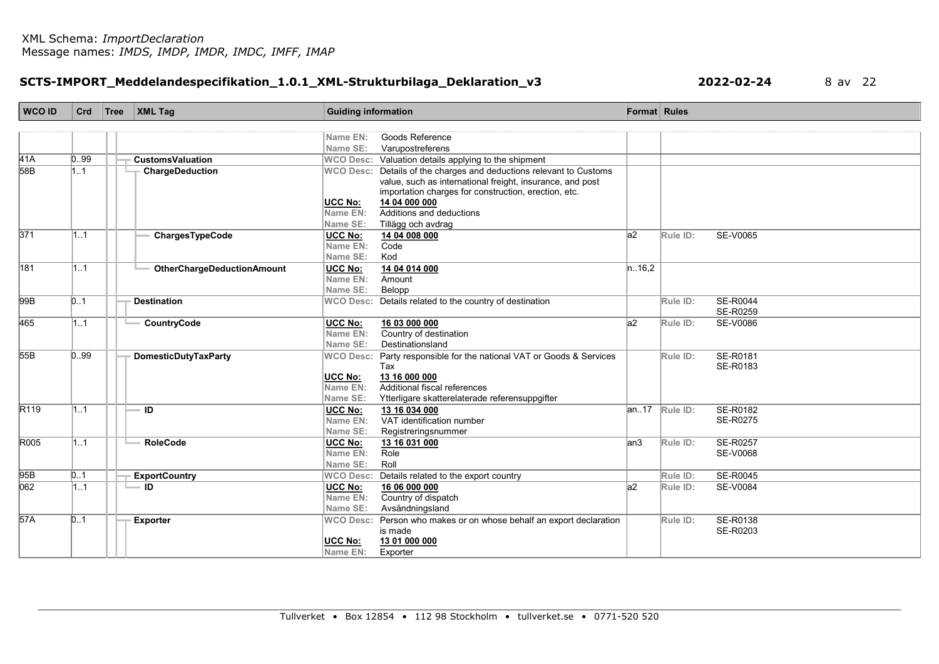# SCTS-IMPORT\_Meddelandespecifikation\_1.0.1\_XML-Strukturbilaga\_Deklaration\_v3 2022-02-24 8 av 22

| <b>WCO ID</b>    | Crd  | Tree | $\vert$ XML Tag                           | <b>Guiding information</b> |                                                                     | <b>Format</b> Rules |          |                 |
|------------------|------|------|-------------------------------------------|----------------------------|---------------------------------------------------------------------|---------------------|----------|-----------------|
|                  |      |      |                                           |                            |                                                                     |                     |          |                 |
|                  |      |      |                                           | Name EN:                   | Goods Reference                                                     |                     |          |                 |
|                  |      |      |                                           | Name SE:                   | Varupostreferens                                                    |                     |          |                 |
| 41A              | 0.99 |      | <b>CustomsValuation</b>                   |                            | WCO Desc: Valuation details applying to the shipment                |                     |          |                 |
| $\overline{58B}$ | 1.1  |      | <b>ChargeDeduction</b>                    |                            | WCO Desc: Details of the charges and deductions relevant to Customs |                     |          |                 |
|                  |      |      |                                           |                            | value, such as international freight, insurance, and post           |                     |          |                 |
|                  |      |      |                                           |                            | importation charges for construction, erection, etc.                |                     |          |                 |
|                  |      |      |                                           | UCC No:                    | 14 04 000 000<br>Additions and deductions                           |                     |          |                 |
|                  |      |      |                                           | Name EN:<br>Name SE:       |                                                                     |                     |          |                 |
| $\overline{371}$ | 11   |      | ChargesTypeCode                           | <b>UCC No:</b>             | Tillägg och avdrag<br>14 04 008 000                                 | la2                 | Rule ID: | <b>SE-V0065</b> |
|                  |      |      |                                           | Name EN:                   | Code                                                                |                     |          |                 |
|                  |      |      |                                           | Name SE:                   | Kod                                                                 |                     |          |                 |
| 181              | 11   |      | <b>OtherChargeDeductionAmount</b>         | UCC No:                    | 14 04 014 000                                                       | n.16,2              |          |                 |
|                  |      |      |                                           | Name EN:                   | Amount                                                              |                     |          |                 |
|                  |      |      |                                           | Name SE:                   | Belopp                                                              |                     |          |                 |
| 99B              | 0.1  |      | <b>Destination</b>                        |                            | WCO Desc: Details related to the country of destination             |                     | Rule ID: | <b>SE-R0044</b> |
|                  |      |      |                                           |                            |                                                                     |                     |          | SE-R0259        |
| 465              | 11   |      | CountryCode                               | <b>UCC No:</b>             | 16 03 000 000                                                       | la2                 | Rule ID: | <b>SE-V0086</b> |
|                  |      |      |                                           | Name EN:                   | Country of destination                                              |                     |          |                 |
|                  |      |      |                                           | Name SE:                   | Destinationsland                                                    |                     |          |                 |
| 55B              | 0.99 |      | <b>DomesticDutyTaxParty</b>               | <b>WCO Desc:</b>           | Party responsible for the national VAT or Goods & Services          |                     | Rule ID: | SE-R0181        |
|                  |      |      |                                           |                            | Tax                                                                 |                     |          | SE-R0183        |
|                  |      |      |                                           | <b>UCC No:</b>             | 13 16 000 000                                                       |                     |          |                 |
|                  |      |      |                                           | Name EN:                   | Additional fiscal references                                        |                     |          |                 |
|                  |      |      |                                           | Name SE:                   | Ytterligare skatterelaterade referensuppgifter                      |                     |          |                 |
| R <sub>119</sub> | 1.1  |      | ID                                        | <b>UCC No:</b>             | 13 16 034 000                                                       | an17                | Rule ID: | SE-R0182        |
|                  |      |      |                                           | Name EN:                   | VAT identification number                                           |                     |          | SE-R0275        |
|                  |      |      |                                           | Name SE:                   | Registreringsnummer                                                 |                     |          |                 |
| R005             | 11   |      | <b>RoleCode</b>                           | <b>UCC No:</b>             | 13 16 031 000                                                       | lan3                | Rule ID: | <b>SE-R0257</b> |
|                  |      |      |                                           | Name EN:<br>Name SE:       | Role<br>Roll                                                        |                     |          | SE-V0068        |
| 95B              | 0.1  |      |                                           | <b>WCO Desc:</b>           |                                                                     |                     | Rule ID: | <b>SE-R0045</b> |
| 062              | 11   |      | <b>ExportCountry</b><br>$\blacksquare$ ID |                            | Details related to the export country<br>16 06 000 000              | la2                 |          | <b>SE-V0084</b> |
|                  |      |      |                                           | <b>UCC No:</b><br>Name EN: | Country of dispatch                                                 |                     | Rule ID: |                 |
|                  |      |      |                                           | Name SE:                   | Avsändningsland                                                     |                     |          |                 |
| 57A              | 0.1  |      | <b>Exporter</b>                           | <b>WCO Desc:</b>           | Person who makes or on whose behalf an export declaration           |                     | Rule ID: | SE-R0138        |
|                  |      |      |                                           |                            | is made                                                             |                     |          | SE-R0203        |
|                  |      |      |                                           | <b>UCC No:</b>             | 13 01 000 000                                                       |                     |          |                 |
|                  |      |      |                                           | Name EN:                   | Exporter                                                            |                     |          |                 |
|                  |      |      |                                           |                            |                                                                     |                     |          |                 |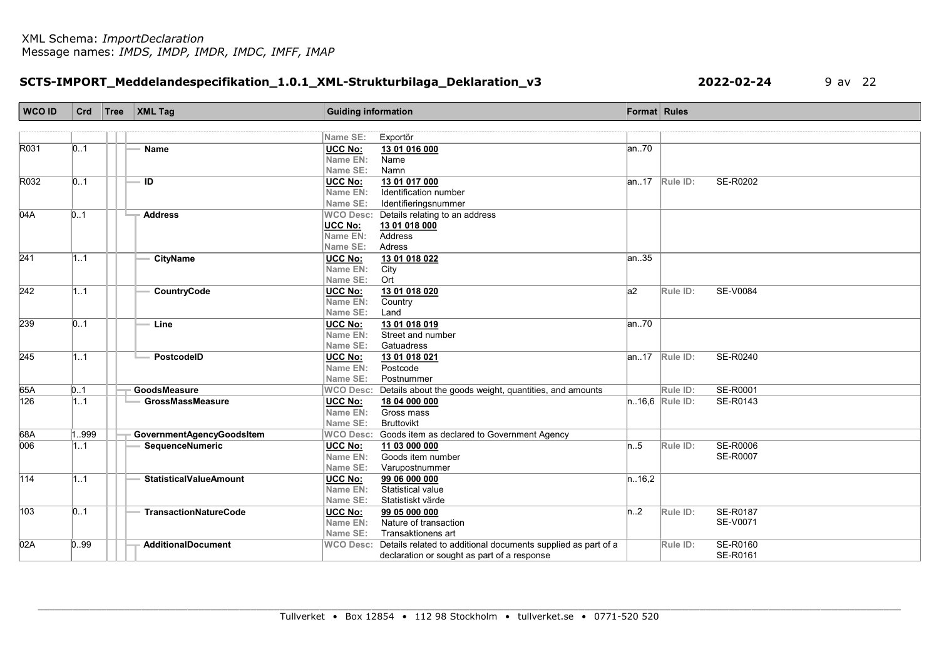# SCTS-IMPORT\_Meddelandespecifikation\_1.0.1\_XML-Strukturbilaga\_Deklaration\_v3 2022-02-24 9 av 22

| <b>WCO ID</b>    | Crd  | Tree | $\overline{\phantom{a}}$ XML Tag | <b>Guiding information</b> |                                                                         | <b>Format</b> Rules |                    |                      |
|------------------|------|------|----------------------------------|----------------------------|-------------------------------------------------------------------------|---------------------|--------------------|----------------------|
|                  |      |      |                                  |                            |                                                                         |                     |                    |                      |
|                  |      |      |                                  | Name SE:                   | Exportör                                                                |                     |                    |                      |
| R031             | 0.1  |      | Name                             | <b>UCC No:</b>             | 13 01 016 000                                                           | an.70               |                    |                      |
|                  |      |      |                                  | Name EN:                   | Name                                                                    |                     |                    |                      |
|                  |      |      |                                  | Name SE:                   | Namn                                                                    |                     |                    |                      |
| R032             | 01   |      | ID                               | UCC No:                    | 13 01 017 000                                                           |                     | $ an.17 $ Rule ID: | SE-R0202             |
|                  |      |      |                                  | Name EN:                   | Identification number                                                   |                     |                    |                      |
|                  |      |      |                                  | Name SE:                   | Identifieringsnummer                                                    |                     |                    |                      |
| 04A              | 0.1  |      | <b>Address</b>                   |                            | WCO Desc: Details relating to an address                                |                     |                    |                      |
|                  |      |      |                                  | <b>UCC No:</b>             | 13 01 018 000                                                           |                     |                    |                      |
|                  |      |      |                                  | Name EN:                   | Address                                                                 |                     |                    |                      |
|                  |      |      |                                  | Name SE:                   | Adress                                                                  |                     |                    |                      |
| $\overline{241}$ | 11   |      | <b>CityName</b>                  | UCC No:                    | 13 01 018 022                                                           | an. 35              |                    |                      |
|                  |      |      |                                  | Name EN:                   | City                                                                    |                     |                    |                      |
|                  |      |      |                                  | Name SE:                   | Ort                                                                     |                     |                    |                      |
| $\overline{242}$ | 11   |      | CountryCode                      | <b>UCC No:</b>             | 13 01 018 020                                                           | a2                  | Rule ID:           | SE-V0084             |
|                  |      |      |                                  | Name EN:                   | Country                                                                 |                     |                    |                      |
|                  |      |      |                                  | Name SE:                   | Land                                                                    |                     |                    |                      |
| 239              | 01   |      | Line                             | UCC No:                    | 13 01 018 019                                                           | an70                |                    |                      |
|                  |      |      |                                  | Name EN:                   | Street and number                                                       |                     |                    |                      |
|                  |      |      |                                  | Name SE:                   | Gatuadress                                                              |                     |                    |                      |
| 245              | 1.1  |      | PostcodelD                       | <b>UCC No:</b>             | 13 01 018 021                                                           |                     | $ an.17 $ Rule ID: | SE-R0240             |
|                  |      |      |                                  | Name EN:                   | Postcode                                                                |                     |                    |                      |
|                  |      |      |                                  | Name SE:                   | Postnummer                                                              |                     |                    |                      |
| 65A              | 0.1  |      | GoodsMeasure                     | <b>WCO Desc:</b>           | Details about the goods weight, quantities, and amounts                 |                     | Rule ID:           | <b>SE-R0001</b>      |
| $\overline{126}$ | 1.1  |      | <b>GrossMassMeasure</b>          | <b>UCC No:</b>             | 18 04 000 000                                                           |                     | $n.16,6$ Rule ID:  | SE-R0143             |
|                  |      |      |                                  | Name EN:                   | Gross mass<br><b>Bruttovikt</b>                                         |                     |                    |                      |
|                  |      |      |                                  | Name SE:                   |                                                                         |                     |                    |                      |
| 68A<br>006       | 999  |      | <b>GovernmentAgencyGoodsItem</b> |                            | WCO Desc: Goods item as declared to Government Agency                   |                     |                    |                      |
|                  | 1.1  |      | SequenceNumeric                  | UCC No:<br>Name EN:        | 11 03 000 000<br>Goods item number                                      | n.5                 | Rule ID:           | <b>SE-R0006</b>      |
|                  |      |      |                                  | Name SE:                   |                                                                         |                     |                    | <b>SE-R0007</b>      |
| $\overline{114}$ | 1.1  |      |                                  |                            | Varupostnummer                                                          |                     |                    |                      |
|                  |      |      | <b>StatisticalValueAmount</b>    | <b>UCC No:</b><br>Name EN: | 99 06 000 000<br><b>Statistical value</b>                               | n.16,2              |                    |                      |
|                  |      |      |                                  | Name SE:                   | Statistiskt värde                                                       |                     |                    |                      |
| 103              | 01   |      | <b>TransactionNatureCode</b>     | <b>UCC No:</b>             | 99 05 000 000                                                           | n.2                 | Rule ID:           | <b>SE-R0187</b>      |
|                  |      |      |                                  | Name EN:                   | Nature of transaction                                                   |                     |                    | SE-V0071             |
|                  |      |      |                                  | Name SE:                   | Transaktionens art                                                      |                     |                    |                      |
| 02A              | 0.99 |      | <b>AdditionalDocument</b>        |                            |                                                                         |                     |                    |                      |
|                  |      |      |                                  |                            | WCO Desc: Details related to additional documents supplied as part of a |                     | Rule ID:           | SE-R0160<br>SE-R0161 |
|                  |      |      |                                  |                            | declaration or sought as part of a response                             |                     |                    |                      |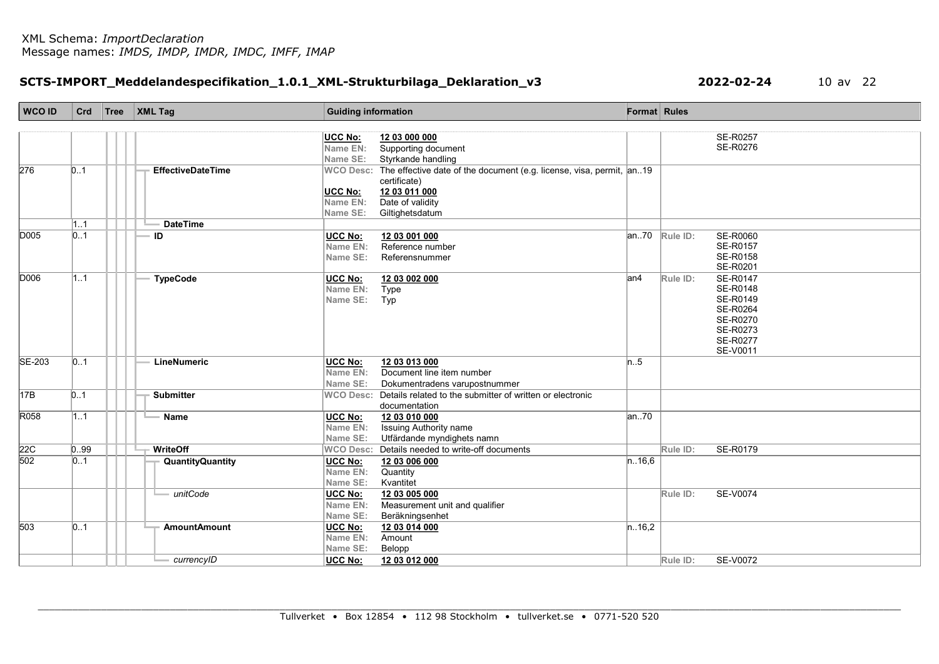### SCTS-IMPORT\_Meddelandespecifikation\_1.0.1\_XML-Strukturbilaga\_Deklaration\_v3 2022-02-24 10 av 22

| WCO ID            | Crd              | Tree | $\vert$ XML Tag          | <b>Guiding information</b> |                                                                                                |        | Format Rules       |                      |
|-------------------|------------------|------|--------------------------|----------------------------|------------------------------------------------------------------------------------------------|--------|--------------------|----------------------|
|                   |                  |      |                          |                            |                                                                                                |        |                    |                      |
|                   |                  |      |                          | UCC No:                    | 12 03 000 000                                                                                  |        |                    | SE-R0257             |
|                   |                  |      |                          | Name EN:                   | Supporting document                                                                            |        |                    | SE-R0276             |
|                   |                  |      |                          | Name SE:                   | Styrkande handling                                                                             |        |                    |                      |
| 276               | 0.1              |      | <b>EffectiveDateTime</b> |                            | WCO Desc: The effective date of the document (e.g. license, visa, permit, an19<br>certificate) |        |                    |                      |
|                   |                  |      |                          | <b>UCC No:</b>             | 12 03 011 000                                                                                  |        |                    |                      |
|                   |                  |      |                          | Name EN:                   | Date of validity                                                                               |        |                    |                      |
|                   |                  |      |                          | Name SE:                   | Giltighetsdatum                                                                                |        |                    |                      |
|                   | 1.1              |      | <b>DateTime</b>          |                            |                                                                                                |        |                    |                      |
| <b>D005</b>       | 0.1              |      | ID                       | UCC No:                    | 12 03 001 000                                                                                  |        | $ an.70 $ Rule ID: | <b>SE-R0060</b>      |
|                   |                  |      |                          | Name EN:                   | Reference number                                                                               |        |                    | SE-R0157             |
|                   |                  |      |                          | Name SE:                   | Referensnummer                                                                                 |        |                    | SE-R0158             |
|                   |                  |      |                          |                            |                                                                                                |        |                    | SE-R0201             |
| <b>D006</b>       | 1.1              |      | <b>TypeCode</b>          | UCC No:                    | 12 03 002 000                                                                                  | an4    | Rule ID:           | <b>SE-R0147</b>      |
|                   |                  |      |                          | Name EN:                   | Type                                                                                           |        |                    | SE-R0148             |
|                   |                  |      |                          | Name SE:                   | Typ                                                                                            |        |                    | SE-R0149             |
|                   |                  |      |                          |                            |                                                                                                |        |                    | SE-R0264             |
|                   |                  |      |                          |                            |                                                                                                |        |                    | SE-R0270             |
|                   |                  |      |                          |                            |                                                                                                |        |                    | SE-R0273<br>SE-R0277 |
|                   |                  |      |                          |                            |                                                                                                |        |                    | SE-V0011             |
| SE-203            | $\vert 01 \vert$ |      | LineNumeric              | <b>UCC No:</b>             | 12 03 013 000                                                                                  | n.5    |                    |                      |
|                   |                  |      |                          | Name EN:                   | Document line item number                                                                      |        |                    |                      |
|                   |                  |      |                          | Name SE:                   | Dokumentradens varupostnummer                                                                  |        |                    |                      |
| 17B               | $\vert 01 \vert$ |      | <b>Submitter</b>         |                            | WCO Desc: Details related to the submitter of written or electronic                            |        |                    |                      |
|                   |                  |      |                          |                            | documentation                                                                                  |        |                    |                      |
| R058              | 1.1              |      | Name                     | <b>UCC No:</b>             | 12 03 010 000                                                                                  | an.70  |                    |                      |
|                   |                  |      |                          | Name EN:                   | <b>Issuing Authority name</b>                                                                  |        |                    |                      |
|                   |                  |      |                          | Name SE:                   | Utfärdande myndighets namn                                                                     |        |                    |                      |
| $\frac{22C}{502}$ | 0.99             |      | WriteOff                 |                            | WCO Desc: Details needed to write-off documents                                                |        | Rule ID:           | SE-R0179             |
|                   | $\vert 01 \vert$ |      | <b>QuantityQuantity</b>  | <b>UCC No:</b>             | 12 03 006 000                                                                                  | n.16,6 |                    |                      |
|                   |                  |      |                          | Name EN:                   | Quantity                                                                                       |        |                    |                      |
|                   |                  |      |                          | Name SE:                   | Kvantitet                                                                                      |        |                    |                      |
|                   |                  |      | - unitCode               | <b>UCC No:</b>             | 12 03 005 000                                                                                  |        | Rule ID:           | <b>SE-V0074</b>      |
|                   |                  |      |                          | Name EN:                   | Measurement unit and qualifier                                                                 |        |                    |                      |
|                   |                  |      |                          | Name SE:                   | Beräkningsenhet                                                                                |        |                    |                      |
| 503               | 01               |      | <b>AmountAmount</b>      | UCC No:                    | 12 03 014 000                                                                                  | n.16,2 |                    |                      |
|                   |                  |      |                          | Name EN:                   | Amount                                                                                         |        |                    |                      |
|                   |                  |      |                          | Name SE:                   | Belopp                                                                                         |        |                    |                      |
|                   |                  |      | currencyID               | <b>UCC No:</b>             | 12 03 012 000                                                                                  |        | Rule ID:           | <b>SE-V0072</b>      |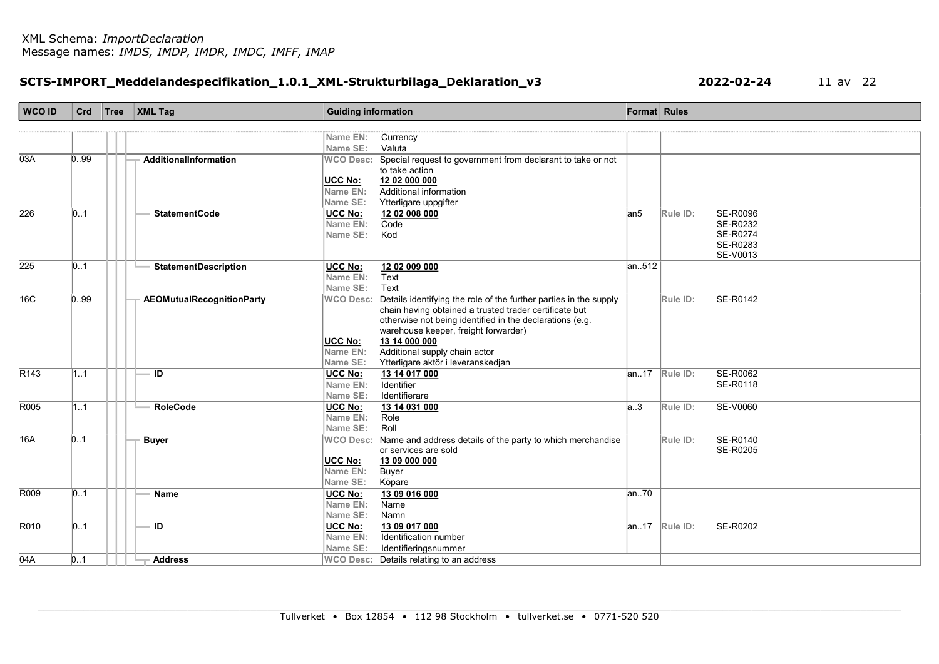# SCTS-IMPORT\_Meddelandespecifikation\_1.0.1\_XML-Strukturbilaga\_Deklaration\_v3 2022-02-24 11 av 22

| <b>WCO ID</b>    | Crd  | Tree | $\vert$ XML Tag                  | <b>Guiding information</b> |                                                                       | <b>Format</b> Rules |                    |                 |
|------------------|------|------|----------------------------------|----------------------------|-----------------------------------------------------------------------|---------------------|--------------------|-----------------|
|                  |      |      |                                  |                            |                                                                       |                     |                    |                 |
|                  |      |      |                                  | Name EN:                   | Currency                                                              |                     |                    |                 |
|                  |      |      |                                  | Name SE:                   | Valuta                                                                |                     |                    |                 |
| 03A              | 0.99 |      | AdditionalInformation            |                            | WCO Desc: Special request to government from declarant to take or not |                     |                    |                 |
|                  |      |      |                                  |                            | to take action                                                        |                     |                    |                 |
|                  |      |      |                                  | <b>UCC No:</b>             | 12 02 000 000                                                         |                     |                    |                 |
|                  |      |      |                                  | Name EN:                   | Additional information                                                |                     |                    |                 |
|                  |      |      |                                  | Name SE:                   | Ytterligare uppgifter                                                 |                     |                    |                 |
| 226              | 01   |      | <b>StatementCode</b>             | UCC No:                    | 12 02 008 000                                                         | lan5                | Rule ID:           | <b>SE-R0096</b> |
|                  |      |      |                                  | Name EN:                   | Code                                                                  |                     |                    | SE-R0232        |
|                  |      |      |                                  | Name SE:                   | Kod                                                                   |                     |                    | <b>SE-R0274</b> |
|                  |      |      |                                  |                            |                                                                       |                     |                    | SE-R0283        |
|                  |      |      |                                  |                            |                                                                       |                     |                    | SE-V0013        |
| 225              | 0.1  |      | <b>StatementDescription</b>      | <b>UCC No:</b>             | 12 02 009 000                                                         | an512               |                    |                 |
|                  |      |      |                                  | Name EN:                   | Text                                                                  |                     |                    |                 |
|                  |      |      |                                  | Name SE:                   | Text                                                                  |                     |                    |                 |
| 16C              | 0.99 |      | <b>AEOMutualRecognitionParty</b> | <b>WCO Desc:</b>           | Details identifying the role of the further parties in the supply     |                     | Rule ID:           | SE-R0142        |
|                  |      |      |                                  |                            | chain having obtained a trusted trader certificate but                |                     |                    |                 |
|                  |      |      |                                  |                            | otherwise not being identified in the declarations (e.g.              |                     |                    |                 |
|                  |      |      |                                  |                            | warehouse keeper, freight forwarder)                                  |                     |                    |                 |
|                  |      |      |                                  | <b>UCC No:</b>             | 13 14 000 000                                                         |                     |                    |                 |
|                  |      |      |                                  | Name EN:                   | Additional supply chain actor                                         |                     |                    |                 |
|                  |      |      |                                  | Name SE:                   | Ytterligare aktör i leveranskedjan                                    |                     |                    |                 |
| R <sub>143</sub> | 1.1  |      | ID                               | UCC No:                    | 13 14 017 000                                                         |                     | $ an.17 $ Rule ID: | <b>SE-R0062</b> |
|                  |      |      |                                  | Name EN:                   | Identifier                                                            |                     |                    | <b>SE-R0118</b> |
|                  |      |      |                                  | Name SE:                   | Identifierare                                                         |                     |                    |                 |
| R005             | 1.1  |      | <b>RoleCode</b>                  | <b>UCC No:</b>             | 13 14 031 000                                                         | a.3                 | Rule ID:           | SE-V0060        |
|                  |      |      |                                  | Name EN:                   | Role                                                                  |                     |                    |                 |
|                  |      |      |                                  | Name SE:                   | Roll                                                                  |                     |                    |                 |
| 16A              | 0.1  |      | <b>Buyer</b>                     | <b>WCO Desc:</b>           | Name and address details of the party to which merchandise            |                     | Rule ID:           | SE-R0140        |
|                  |      |      |                                  |                            | or services are sold                                                  |                     |                    | SE-R0205        |
|                  |      |      |                                  | <b>UCC No:</b>             | 13 09 000 000                                                         |                     |                    |                 |
|                  |      |      |                                  | Name EN:                   | Buyer                                                                 |                     |                    |                 |
|                  |      |      |                                  | Name SE:                   | Köpare                                                                |                     |                    |                 |
| R009             | 01   |      | <b>Name</b>                      | <b>UCC No:</b>             | 13 09 016 000                                                         | an70                |                    |                 |
|                  |      |      |                                  | Name EN:                   | Name                                                                  |                     |                    |                 |
|                  |      |      |                                  | Name SE:                   | Namn                                                                  |                     |                    |                 |
| R010             | 01   |      | ID                               | <b>UCC No:</b>             | 13 09 017 000                                                         |                     | $ an17 $ Rule ID:  | SE-R0202        |
|                  |      |      |                                  | Name EN:                   | Identification number                                                 |                     |                    |                 |
|                  |      |      |                                  | Name SE:                   | Identifieringsnummer                                                  |                     |                    |                 |
| 04A              | 0.1  |      | <b>Address</b>                   |                            | WCO Desc: Details relating to an address                              |                     |                    |                 |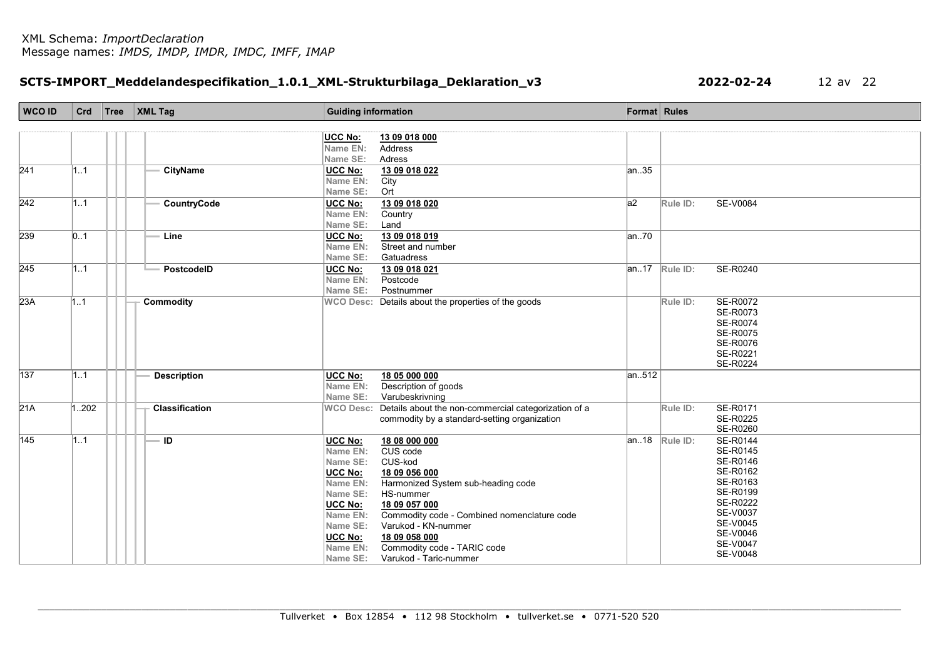# SCTS-IMPORT\_Meddelandespecifikation\_1.0.1\_XML-Strukturbilaga\_Deklaration\_v3 2022-02-24 12 av 22

| <b>WCO ID</b> | Crd              | Tree | $\vert$ XML Tag       | <b>Guiding information</b>                                                    | Format Rules |                                         |
|---------------|------------------|------|-----------------------|-------------------------------------------------------------------------------|--------------|-----------------------------------------|
|               |                  |      |                       |                                                                               |              |                                         |
|               |                  |      |                       | <b>UCC No:</b><br>13 09 018 000                                               |              |                                         |
|               |                  |      |                       | <b>Address</b><br>Name EN:                                                    |              |                                         |
| 241           |                  |      | <b>CityName</b>       | Name SE:<br>Adress                                                            | an. 35       |                                         |
|               | 11               |      |                       | <b>UCC No:</b><br>13 09 018 022<br>Name EN:<br>City                           |              |                                         |
|               |                  |      |                       | Name SE:<br>Ort                                                               |              |                                         |
| 242           | 11               |      | CountryCode           | <b>UCC No:</b><br>13 09 018 020                                               | a2           | <b>SE-V0084</b><br>Rule ID:             |
|               |                  |      |                       | Name EN:<br>Country                                                           |              |                                         |
|               |                  |      |                       | Name SE:<br>Land                                                              |              |                                         |
| 239           | $\vert 01 \vert$ |      | Line                  | 13 09 018 019<br><b>UCC No:</b>                                               | an.70        |                                         |
|               |                  |      |                       | Name EN:<br>Street and number                                                 |              |                                         |
|               |                  |      |                       | Name SE:<br>Gatuadress                                                        |              |                                         |
| 245           | 1.1              |      | PostcodelD            | UCC No:<br>13 09 018 021<br>Postcode                                          |              | $\overline{an.}17$ Rule ID:<br>SE-R0240 |
|               |                  |      |                       | Name EN:<br>Name SE:<br>Postnummer                                            |              |                                         |
| 23A           | 11               |      | <b>Commodity</b>      | WCO Desc: Details about the properties of the goods                           |              | SE-R0072<br>Rule ID:                    |
|               |                  |      |                       |                                                                               |              | SE-R0073                                |
|               |                  |      |                       |                                                                               |              | SE-R0074                                |
|               |                  |      |                       |                                                                               |              | SE-R0075                                |
|               |                  |      |                       |                                                                               |              | SE-R0076                                |
|               |                  |      |                       |                                                                               |              | SE-R0221<br>SE-R0224                    |
| 137           | 11               |      | <b>Description</b>    | UCC No:<br>18 05 000 000                                                      | an512        |                                         |
|               |                  |      |                       | Name EN:<br>Description of goods                                              |              |                                         |
|               |                  |      |                       | Name SE:<br>Varubeskrivning                                                   |              |                                         |
| 21A           | 1202             |      | <b>Classification</b> | Details about the non-commercial categorization of a<br><b>WCO Desc:</b>      |              | SE-R0171<br>Rule ID:                    |
|               |                  |      |                       | commodity by a standard-setting organization                                  |              | SE-R0225                                |
|               |                  |      |                       |                                                                               |              | SE-R0260                                |
| 145           | 1.1              |      | ١D                    | 18 08 000 000<br>UCC No:                                                      | an18         | <b>SE-R0144</b><br>Rule ID:             |
|               |                  |      |                       | Name EN:<br>CUS code<br>Name SE:<br>CUS-kod                                   |              | SE-R0145<br>SE-R0146                    |
|               |                  |      |                       | UCC No:<br>18 09 056 000                                                      |              | SE-R0162                                |
|               |                  |      |                       | Harmonized System sub-heading code<br>Name EN:                                |              | SE-R0163                                |
|               |                  |      |                       | Name SE:<br>HS-nummer                                                         |              | SE-R0199                                |
|               |                  |      |                       | <b>UCC No:</b><br>18 09 057 000                                               |              | SE-R0222                                |
|               |                  |      |                       | Commodity code - Combined nomenclature code<br>Name EN:                       |              | SE-V0037                                |
|               |                  |      |                       | Varukod - KN-nummer<br>Name SE:                                               |              | SE-V0045<br>SE-V0046                    |
|               |                  |      |                       | <b>UCC No:</b><br>18 09 058 000                                               |              | SE-V0047                                |
|               |                  |      |                       | Commodity code - TARIC code<br>Name EN:<br>Name SE:<br>Varukod - Taric-nummer |              | SE-V0048                                |
|               |                  |      |                       |                                                                               |              |                                         |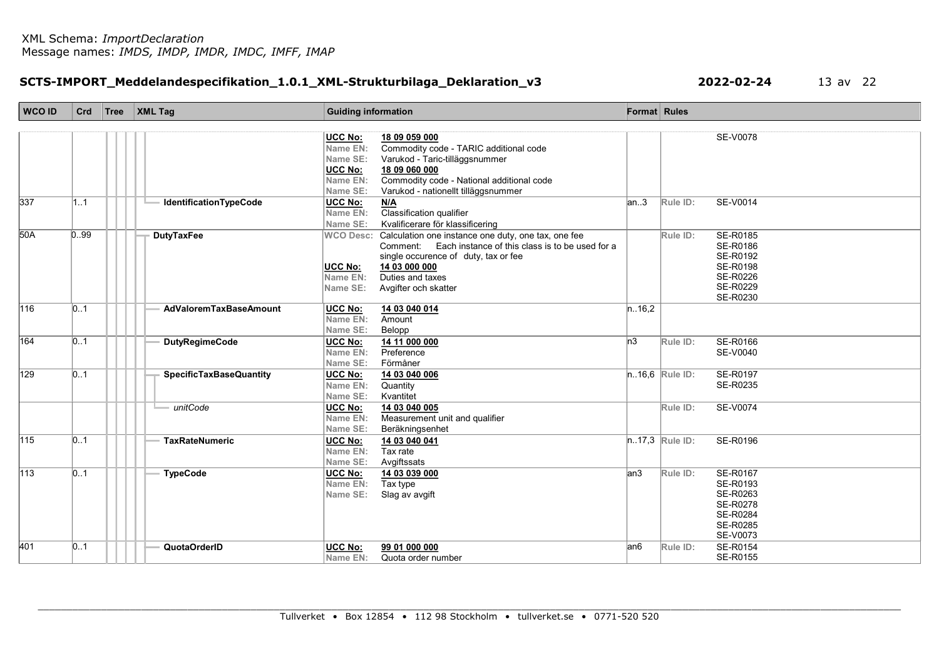# SCTS-IMPORT\_Meddelandespecifikation\_1.0.1\_XML-Strukturbilaga\_Deklaration\_v3 2022-02-24 13 av 22

| WCO ID | Crd  | Tree   XML Tag                 | <b>Guiding information</b>                                                               |         | Format Rules      |                      |
|--------|------|--------------------------------|------------------------------------------------------------------------------------------|---------|-------------------|----------------------|
|        |      |                                |                                                                                          |         |                   |                      |
|        |      |                                | <b>UCC No:</b><br>18 09 059 000                                                          |         |                   | <b>SE-V0078</b>      |
|        |      |                                | Commodity code - TARIC additional code<br>Name EN:                                       |         |                   |                      |
|        |      |                                | Name SE:<br>Varukod - Taric-tilläggsnummer                                               |         |                   |                      |
|        |      |                                | <b>UCC No:</b><br>18 09 060 000<br>Commodity code - National additional code<br>Name EN: |         |                   |                      |
|        |      |                                | Varukod - nationellt tilläggsnummer<br>Name SE:                                          |         |                   |                      |
| 337    | 11   | <b>IdentificationTypeCode</b>  | <b>UCC No:</b><br>M/A                                                                    | an.3    | Rule ID:          | SE-V0014             |
|        |      |                                | Classification qualifier<br>Name EN:                                                     |         |                   |                      |
|        |      |                                | Kvalificerare för klassificering<br>Name SE:                                             |         |                   |                      |
| 50A    | 0.99 | <b>DutyTaxFee</b>              | Calculation one instance one duty, one tax, one fee<br><b>WCO Desc:</b>                  |         | Rule ID:          | SE-R0185             |
|        |      |                                | Comment: Each instance of this class is to be used for a                                 |         |                   | SE-R0186             |
|        |      |                                | single occurence of duty, tax or fee                                                     |         |                   | SE-R0192             |
|        |      |                                | 14 03 000 000<br><b>UCC No:</b>                                                          |         |                   | SE-R0198             |
|        |      |                                | Duties and taxes<br>Name EN:                                                             |         |                   | SE-R0226             |
|        |      |                                | Name SE:<br>Avgifter och skatter                                                         |         |                   | SE-R0229             |
|        |      |                                |                                                                                          |         |                   | SE-R0230             |
| 116    | 0.1  | <b>AdValoremTaxBaseAmount</b>  | UCC No:<br>14 03 040 014                                                                 | n.16,2  |                   |                      |
|        |      |                                | Name EN:<br>Amount                                                                       |         |                   |                      |
|        |      |                                | Name SE:<br>Belopp                                                                       |         |                   |                      |
| 164    | 0.1  | <b>DutyRegimeCode</b>          | UCC No:<br>14 11 000 000                                                                 | $\ln 3$ | Rule ID:          | SE-R0166             |
|        |      |                                | Preference<br>Name EN:                                                                   |         |                   | SE-V0040             |
|        |      |                                | Förmåner<br>Name SE:                                                                     |         |                   |                      |
| 129    | 0.1  | <b>SpecificTaxBaseQuantity</b> | <b>UCC No:</b><br>14 03 040 006                                                          |         | $n.16,6$ Rule ID: | SE-R0197<br>SE-R0235 |
|        |      |                                | Quantity<br>Name EN:<br>Name SE:<br>Kvantitet                                            |         |                   |                      |
|        |      | unitCode                       |                                                                                          |         | Rule ID:          | <b>SE-V0074</b>      |
|        |      |                                | <b>UCC No:</b><br>14 03 040 005<br>Name EN:                                              |         |                   |                      |
|        |      |                                | Measurement unit and qualifier<br>Name SE:<br>Beräkningsenhet                            |         |                   |                      |
| 115    | 0.1  | <b>TaxRateNumeric</b>          | UCC No:<br>14 03 040 041                                                                 |         | $n.17,3$ Rule ID: | SE-R0196             |
|        |      |                                | Tax rate<br>Name EN:                                                                     |         |                   |                      |
|        |      |                                | Name SE:<br>Avgiftssats                                                                  |         |                   |                      |
| 113    | 01   | <b>TypeCode</b>                | <b>UCC No:</b><br>14 03 039 000                                                          | an3     | Rule ID:          | SE-R0167             |
|        |      |                                | Name EN:<br>Tax type                                                                     |         |                   | SE-R0193             |
|        |      |                                | Name SE:<br>Slag av avgift                                                               |         |                   | SE-R0263             |
|        |      |                                |                                                                                          |         |                   | SE-R0278             |
|        |      |                                |                                                                                          |         |                   | SE-R0284             |
|        |      |                                |                                                                                          |         |                   | SE-R0285             |
|        |      |                                |                                                                                          |         |                   | SE-V0073             |
| 401    | 0.1  | QuotaOrderID                   | <b>UCC No:</b><br>99 01 000 000                                                          | lan6    | Rule ID:          | SE-R0154             |
|        |      |                                | Name EN:<br>Quota order number                                                           |         |                   | SE-R0155             |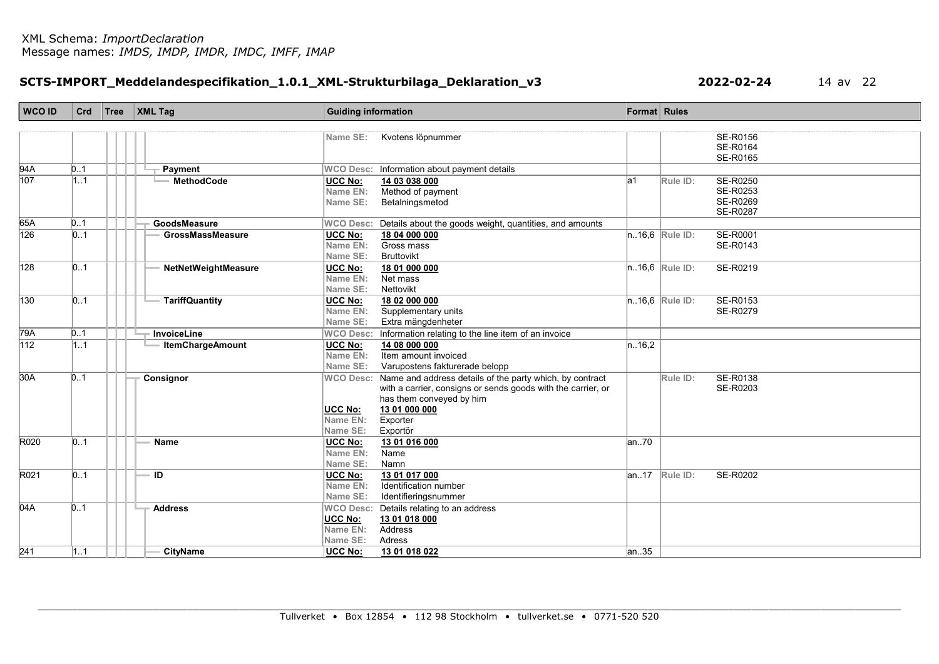# SCTS-IMPORT\_Meddelandespecifikation\_1.0.1\_XML-Strukturbilaga\_Deklaration\_v3 2022-02-24 14 av 22

| <b>WCO ID</b>    | Crd              | Tree | <b>XML Tag</b>          | <b>Guiding information</b>                                                                                                                                                                                                                        |        | <b>Format</b> Rules                                      |
|------------------|------------------|------|-------------------------|---------------------------------------------------------------------------------------------------------------------------------------------------------------------------------------------------------------------------------------------------|--------|----------------------------------------------------------|
|                  |                  |      |                         | Kvotens löpnummer<br>Name SE:                                                                                                                                                                                                                     |        | SE-R0156                                                 |
|                  |                  |      |                         |                                                                                                                                                                                                                                                   |        | SE-R0164<br>SE-R0165                                     |
| 94A              | 0.1              |      | Payment                 | WCO Desc: Information about payment details                                                                                                                                                                                                       |        |                                                          |
| 107              | 1.1              |      | <b>MethodCode</b>       | <b>UCC No:</b><br>14 03 038 000<br>Method of payment<br>Name EN:<br>Name SE:<br>Betalningsmetod                                                                                                                                                   | la1    | SE-R0250<br>Rule ID:<br>SE-R0253<br>SE-R0269<br>SE-R0287 |
| 65A              | 0.1              |      | GoodsMeasure            | WCO Desc: Details about the goods weight, quantities, and amounts                                                                                                                                                                                 |        |                                                          |
| 126              | 01               |      | <b>GrossMassMeasure</b> | <b>UCC No:</b><br>18 04 000 000<br>Gross mass<br>Name EN:<br>Name SE:<br>Bruttovikt                                                                                                                                                               |        | $n.16,6$ Rule ID:<br>SE-R0001<br>SE-R0143                |
| 128              | 0.1              |      | NetNetWeightMeasure     | <b>UCC No:</b><br>18 01 000 000<br>Net mass<br>Name EN:<br>Nettovikt<br>Name SE:                                                                                                                                                                  |        | $n.16,6$ Rule ID:<br>SE-R0219                            |
| 130              | 0.1              |      | <b>TariffQuantity</b>   | <b>UCC No:</b><br>18 02 000 000<br>Supplementary units<br>Name EN:<br>Name SE:<br>Extra mängdenheter                                                                                                                                              |        | SE-R0153<br>$n.16,6$ Rule ID:<br>SE-R0279                |
| 79A              | 0.1              |      | <b>InvoiceLine</b>      | WCO Desc: Information relating to the line item of an invoice                                                                                                                                                                                     |        |                                                          |
| 112              | 11               |      | <b>ItemChargeAmount</b> | <b>UCC No:</b><br>14 08 000 000<br>Name EN:<br>Item amount invoiced<br>Name SE:<br>Varupostens fakturerade belopp                                                                                                                                 | n.16,2 |                                                          |
| 30A              | 0.1              |      | Consignor               | WCO Desc: Name and address details of the party which, by contract<br>with a carrier, consigns or sends goods with the carrier, or<br>has them conveyed by him<br>13 01 000 000<br><b>UCC No:</b><br>Name EN:<br>Exporter<br>Name SE:<br>Exportör |        | SE-R0138<br>Rule ID:<br>SE-R0203                         |
| R020             | 0.1              |      | Name                    | UCC No:<br>13 01 016 000<br>Name EN:<br>Name<br>Name SE:<br>Namn                                                                                                                                                                                  | an70   |                                                          |
| R021             | $\vert 01 \vert$ |      | ID                      | <b>UCC No:</b><br>13 01 017 000<br>Name EN:<br>Identification number<br>Name SE:<br>Identifieringsnummer                                                                                                                                          |        | SE-R0202<br>$ an17 $ Rule ID:                            |
| 04A              | 0.1              |      | <b>Address</b>          | WCO Desc: Details relating to an address<br><b>UCC No:</b><br>13 01 018 000<br>Address<br>Name EN:<br>Name SE:<br>Adress                                                                                                                          |        |                                                          |
| $\overline{241}$ | 1.1              |      | <b>CityName</b>         | UCC No:<br>13 01 018 022                                                                                                                                                                                                                          | lan35  |                                                          |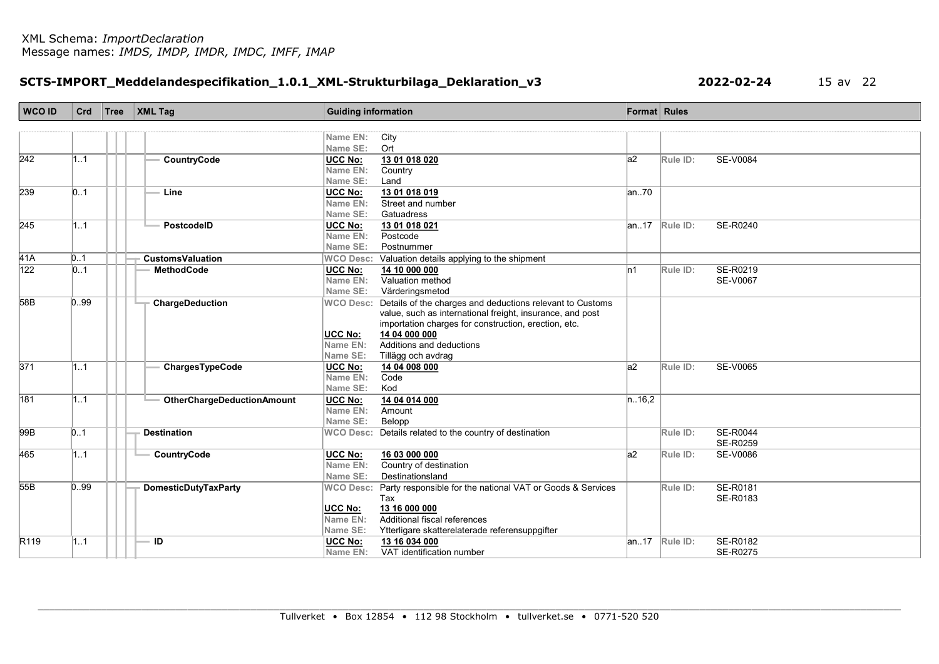# SCTS-IMPORT\_Meddelandespecifikation\_1.0.1\_XML-Strukturbilaga\_Deklaration\_v3 2022-02-24 15 av 22

| WCO ID                  | Crd        | Tree | $\vert$ XML Tag                   | <b>Guiding information</b> |                                                                              | <b>Format</b> Rules |                    |                             |
|-------------------------|------------|------|-----------------------------------|----------------------------|------------------------------------------------------------------------------|---------------------|--------------------|-----------------------------|
|                         |            |      |                                   |                            |                                                                              |                     |                    |                             |
|                         |            |      |                                   | Name EN:                   | City                                                                         |                     |                    |                             |
|                         |            |      |                                   | Name SE:                   | Ort                                                                          |                     |                    |                             |
| 242                     | 1.1        |      | CountryCode                       | UCC No:                    | 13 01 018 020                                                                | a2                  | Rule ID:           | <b>SE-V0084</b>             |
|                         |            |      |                                   | Name EN:                   | Country                                                                      |                     |                    |                             |
|                         |            |      |                                   | Name SE:                   | Land                                                                         |                     |                    |                             |
| 239                     | 0.1        |      | Line                              | <b>UCC No:</b>             | 13 01 018 019                                                                | an.70               |                    |                             |
|                         |            |      |                                   | Name EN:                   | Street and number                                                            |                     |                    |                             |
|                         |            |      |                                   | Name SE:                   | Gatuadress                                                                   |                     |                    |                             |
| 245                     | 11         |      | PostcodelD                        | <b>UCC No:</b>             | 13 01 018 021                                                                |                     | $ an.17 $ Rule ID: | SE-R0240                    |
|                         |            |      |                                   | Name EN:                   | Postcode                                                                     |                     |                    |                             |
|                         |            |      |                                   | Name SE:                   | Postnummer                                                                   |                     |                    |                             |
| 41A<br>$\overline{122}$ | 0.1        |      | <b>CustomsValuation</b>           | <b>WCO Desc:</b>           | Valuation details applying to the shipment                                   |                     |                    |                             |
|                         | $\vert$ 01 |      | <b>MethodCode</b>                 | UCC No:                    | 14 10 000 000<br>Valuation method                                            | ln1                 | Rule ID:           | SE-R0219<br><b>SE-V0067</b> |
|                         |            |      |                                   | Name EN:<br>Name SE:       |                                                                              |                     |                    |                             |
| 58B                     | 0.99       |      | ChargeDeduction                   | <b>WCO Desc:</b>           | Värderingsmetod<br>Details of the charges and deductions relevant to Customs |                     |                    |                             |
|                         |            |      |                                   |                            | value, such as international freight, insurance, and post                    |                     |                    |                             |
|                         |            |      |                                   |                            | importation charges for construction, erection, etc.                         |                     |                    |                             |
|                         |            |      |                                   | <b>UCC No:</b>             | 14 04 000 000                                                                |                     |                    |                             |
|                         |            |      |                                   | Name EN:                   | Additions and deductions                                                     |                     |                    |                             |
|                         |            |      |                                   | Name SE:                   | Tillägg och avdrag                                                           |                     |                    |                             |
| 371                     | 1.1        |      | ChargesTypeCode                   | UCC No:                    | 14 04 008 000                                                                | a2                  | Rule ID:           | SE-V0065                    |
|                         |            |      |                                   | Name EN:                   | Code                                                                         |                     |                    |                             |
|                         |            |      |                                   | Name SE:                   | Kod                                                                          |                     |                    |                             |
| 181                     | 1.1        |      | <b>OtherChargeDeductionAmount</b> | UCC No:                    | 14 04 014 000                                                                | n.16,2              |                    |                             |
|                         |            |      |                                   | Name EN:                   | Amount                                                                       |                     |                    |                             |
|                         |            |      |                                   | Name SE:                   | Belopp                                                                       |                     |                    |                             |
| 99B                     | 0.1        |      | <b>Destination</b>                |                            | WCO Desc: Details related to the country of destination                      |                     | Rule ID:           | <b>SE-R0044</b>             |
|                         |            |      |                                   |                            |                                                                              |                     |                    | <b>SE-R0259</b>             |
| 465                     | 1.1        |      | CountryCode                       | UCC No:                    | 16 03 000 000                                                                | a2                  | Rule ID:           | SE-V0086                    |
|                         |            |      |                                   | Name EN:                   | Country of destination                                                       |                     |                    |                             |
|                         |            |      |                                   | Name SE:                   | Destinationsland                                                             |                     |                    |                             |
| 55B                     | 0.99       |      | <b>DomesticDutyTaxParty</b>       |                            | WCO Desc: Party responsible for the national VAT or Goods & Services         |                     | Rule ID:           | SE-R0181                    |
|                         |            |      |                                   |                            | Tax                                                                          |                     |                    | SE-R0183                    |
|                         |            |      |                                   | <b>UCC No:</b>             | 13 16 000 000                                                                |                     |                    |                             |
|                         |            |      |                                   | Name EN:                   | Additional fiscal references                                                 |                     |                    |                             |
|                         |            |      |                                   | Name SE:                   | Ytterligare skatterelaterade referensuppgifter                               |                     |                    |                             |
| R119                    | 1.1        |      | ID                                | <b>UCC No:</b>             | 13 16 034 000                                                                | an.17               | Rule ID:           | SE-R0182                    |
|                         |            |      |                                   | Name EN:                   | VAT identification number                                                    |                     |                    | SE-R0275                    |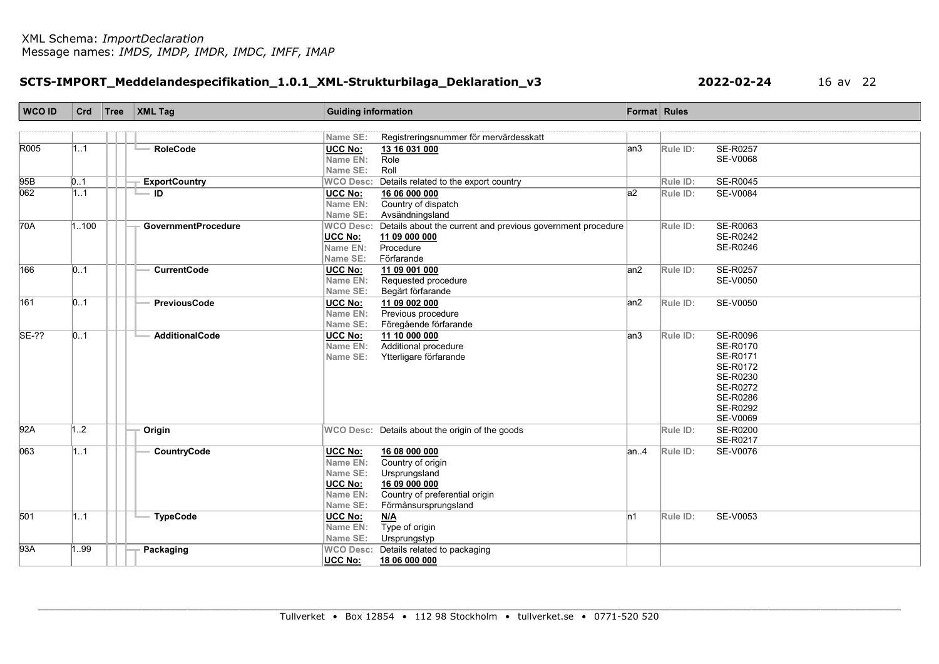# SCTS-IMPORT\_Meddelandespecifikation\_1.0.1\_XML-Strukturbilaga\_Deklaration\_v3 2022-02-24 16 av 22

| <b>WCO ID</b> | Crd              | Tree | <b>XML Tag</b>             | <b>Guiding information</b> |                                                             | <b>Format</b> Rules |          |                      |
|---------------|------------------|------|----------------------------|----------------------------|-------------------------------------------------------------|---------------------|----------|----------------------|
|               |                  |      |                            |                            |                                                             |                     |          |                      |
|               |                  |      |                            | Name SE:                   | Registreringsnummer för mervärdesskatt                      |                     |          |                      |
| R005          | 1.1              |      | <b>RoleCode</b>            | <b>UCC No:</b>             | 13 16 031 000                                               | lan3                | Rule ID: | SE-R0257             |
|               |                  |      |                            | Name EN:                   | Role                                                        |                     |          | SE-V0068             |
|               |                  |      |                            | Name SE:                   | Roll                                                        |                     |          |                      |
| 95B           | 0.1              |      | <b>ExportCountry</b>       | <b>WCO Desc:</b>           | Details related to the export country                       |                     | Rule ID: | <b>SE-R0045</b>      |
| 062           | 1.1              |      | ID                         | <b>UCC No:</b>             | 16 06 000 000                                               | a2                  | Rule ID: | <b>SE-V0084</b>      |
|               |                  |      |                            | Name EN:                   | Country of dispatch                                         |                     |          |                      |
|               |                  |      |                            | Name SE:                   | Avsändningsland                                             |                     |          |                      |
| 70A           | .100             |      | <b>GovernmentProcedure</b> | <b>WCO Desc:</b>           | Details about the current and previous government procedure |                     | Rule ID: | SE-R0063             |
|               |                  |      |                            | <b>UCC No:</b>             | 11 09 000 000                                               |                     |          | SE-R0242             |
|               |                  |      |                            | Name EN:                   | Procedure                                                   |                     |          | SE-R0246             |
|               |                  |      |                            | Name SE:                   | Förfarande                                                  |                     |          |                      |
| 166           | 01               |      | <b>CurrentCode</b>         | <b>UCC No:</b>             | 11 09 001 000                                               | an2                 | Rule ID: | SE-R0257             |
|               |                  |      |                            | Name EN:                   | Requested procedure                                         |                     |          | SE-V0050             |
|               |                  |      |                            | Name SE:                   | Begärt förfarande                                           |                     |          |                      |
| 161           | 01               |      | <b>PreviousCode</b>        | <b>UCC No:</b>             | 11 09 002 000                                               | an2                 | Rule ID: | SE-V0050             |
|               |                  |      |                            | Name EN:                   | Previous procedure                                          |                     |          |                      |
|               |                  |      |                            | Name SE:                   | Föregående förfarande                                       |                     |          |                      |
| <b>SE-??</b>  | $\vert 01 \vert$ |      | <b>AdditionalCode</b>      | <b>UCC No:</b>             | 11 10 000 000                                               | lan3                | Rule ID: | <b>SE-R0096</b>      |
|               |                  |      |                            | Name EN:                   | Additional procedure                                        |                     |          | SE-R0170             |
|               |                  |      |                            | Name SE:                   | Ytterligare förfarande                                      |                     |          | SE-R0171             |
|               |                  |      |                            |                            |                                                             |                     |          | SE-R0172             |
|               |                  |      |                            |                            |                                                             |                     |          | SE-R0230             |
|               |                  |      |                            |                            |                                                             |                     |          | SE-R0272<br>SE-R0286 |
|               |                  |      |                            |                            |                                                             |                     |          | SE-R0292             |
|               |                  |      |                            |                            |                                                             |                     |          | <b>SE-V0069</b>      |
| 92A           | 1.2              |      | Origin                     |                            | WCO Desc: Details about the origin of the goods             |                     | Rule ID: | SE-R0200             |
|               |                  |      |                            |                            |                                                             |                     |          | SE-R0217             |
| 063           | 1.1              |      | <b>CountryCode</b>         | <b>UCC No:</b>             | 16 08 000 000                                               | an.4                | Rule ID: | SE-V0076             |
|               |                  |      |                            | Name EN:                   | Country of origin                                           |                     |          |                      |
|               |                  |      |                            | Name SE:                   | Ursprungsland                                               |                     |          |                      |
|               |                  |      |                            | UCC No:                    | 16 09 000 000                                               |                     |          |                      |
|               |                  |      |                            | Name EN:                   | Country of preferential origin                              |                     |          |                      |
|               |                  |      |                            | Name SE:                   | Förmånsursprungsland                                        |                     |          |                      |
| 501           | 1.1              |      | <b>TypeCode</b>            | UCC No:                    | N/A                                                         | ln 1                | Rule ID: | SE-V0053             |
|               |                  |      |                            | Name EN:                   | Type of origin                                              |                     |          |                      |
|               |                  |      |                            | Name SE:                   | Ursprungstyp                                                |                     |          |                      |
| 93A           | 99               |      | Packaging                  | <b>WCO Desc:</b>           | Details related to packaging                                |                     |          |                      |
|               |                  |      |                            | <b>UCC No:</b>             | 18 06 000 000                                               |                     |          |                      |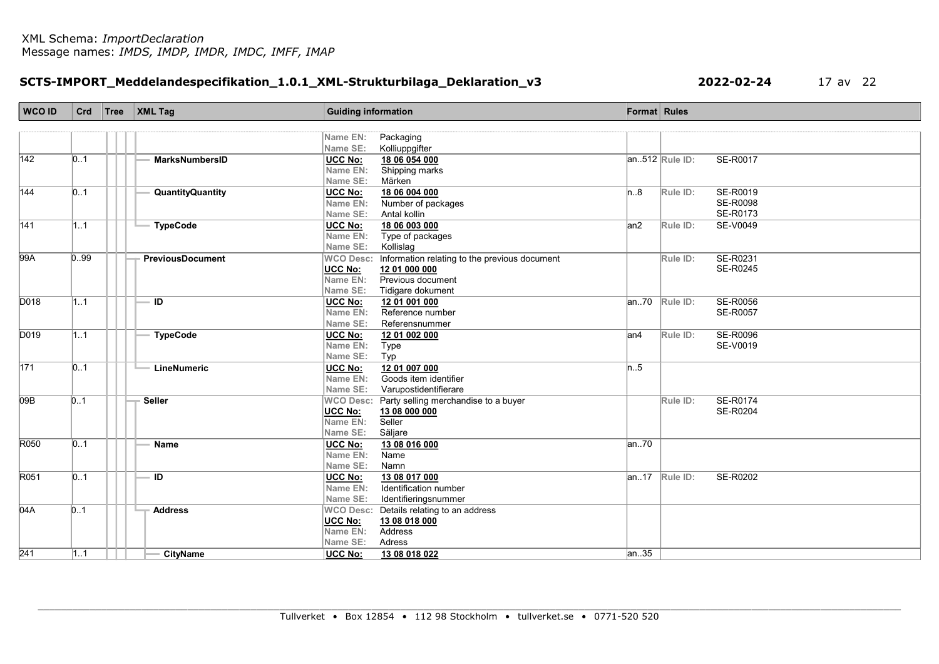# SCTS-IMPORT\_Meddelandespecifikation\_1.0.1\_XML-Strukturbilaga\_Deklaration\_v3 2022-02-24 17 av 22

| WCO ID | Crd               | Tree | $\vert$ XML Tag         | <b>Guiding information</b> |                                                | <b>Format</b> Rules |                     |                 |
|--------|-------------------|------|-------------------------|----------------------------|------------------------------------------------|---------------------|---------------------|-----------------|
|        |                   |      |                         |                            |                                                |                     |                     |                 |
|        |                   |      |                         | Name EN:                   | Packaging                                      |                     |                     |                 |
|        |                   |      |                         | Name SE:                   | Kolliuppgifter                                 |                     |                     |                 |
| 142    | $\vert 0.1 \vert$ |      | <b>MarksNumbersID</b>   | <b>UCC No:</b>             | 18 06 054 000                                  |                     | $ an.512 $ Rule ID: | SE-R0017        |
|        |                   |      |                         | Name EN:                   | Shipping marks                                 |                     |                     |                 |
|        |                   |      |                         | Name SE:                   | Märken                                         |                     |                     |                 |
| 144    | 0.1               |      | <b>QuantityQuantity</b> | UCC No:                    | 18 06 004 000                                  | n.8                 | Rule ID:            | SE-R0019        |
|        |                   |      |                         | Name EN:                   | Number of packages                             |                     |                     | <b>SE-R0098</b> |
|        |                   |      |                         | Name SE:                   | Antal kollin                                   |                     |                     | SE-R0173        |
| 141    | 1.1               |      | <b>TypeCode</b>         | <b>UCC No:</b>             | 18 06 003 000                                  | an2                 | Rule ID:            | SE-V0049        |
|        |                   |      |                         | Name EN:                   | Type of packages                               |                     |                     |                 |
|        |                   |      |                         | Name SE:                   | Kollislag                                      |                     |                     |                 |
| 99A    | 0.99              |      | <b>PreviousDocument</b> | <b>WCO Desc:</b>           | Information relating to the previous document  |                     | Rule ID:            | SE-R0231        |
|        |                   |      |                         | UCC No:                    | 12 01 000 000                                  |                     |                     | SE-R0245        |
|        |                   |      |                         | Name EN:                   | Previous document                              |                     |                     |                 |
|        |                   |      |                         | Name SE:                   | Tidigare dokument                              |                     |                     |                 |
| D018   | 1.1               |      | ID                      | UCC No:                    | 12 01 001 000                                  | lan…70              | Rule ID:            | SE-R0056        |
|        |                   |      |                         | Name EN:                   | Reference number                               |                     |                     | <b>SE-R0057</b> |
|        |                   |      |                         | Name SE:                   | Referensnummer                                 |                     |                     |                 |
| D019   | 1.1               |      | <b>TypeCode</b>         | <b>UCC No:</b>             | 12 01 002 000                                  | an4                 | Rule ID:            | <b>SE-R0096</b> |
|        |                   |      |                         | Name EN:                   | Type                                           |                     |                     | SE-V0019        |
|        |                   |      |                         | Name SE:                   | Typ                                            |                     |                     |                 |
| 171    | $\vert 0.1 \vert$ |      | LineNumeric             | UCC No:                    | 12 01 007 000                                  | n.5                 |                     |                 |
|        |                   |      |                         | Name EN:                   | Goods item identifier                          |                     |                     |                 |
|        |                   |      |                         | Name SE:                   | Varupostidentifierare                          |                     |                     |                 |
| 09B    | 0.1               |      | Seller                  |                            | WCO Desc: Party selling merchandise to a buyer |                     | Rule ID:            | SE-R0174        |
|        |                   |      |                         | <b>UCC No:</b>             | 13 08 000 000                                  |                     |                     | SE-R0204        |
|        |                   |      |                         | Name EN:                   | Seller                                         |                     |                     |                 |
|        |                   |      |                         | Name SE:                   | Säljare                                        |                     |                     |                 |
| R050   | $\vert 0.1 \vert$ |      | <b>Name</b>             | UCC No:                    | 13 08 016 000                                  | an.70               |                     |                 |
|        |                   |      |                         | Name EN:                   | Name                                           |                     |                     |                 |
|        |                   |      |                         | Name SE:                   | Namn                                           |                     |                     |                 |
| R051   | $\vert 0.1 \vert$ |      | ID                      | <b>UCC No:</b>             | 13 08 017 000                                  |                     | $ an.17 $ Rule ID:  | SE-R0202        |
|        |                   |      |                         | Name EN:                   | Identification number                          |                     |                     |                 |
|        |                   |      |                         | Name SE:                   | Identifieringsnummer                           |                     |                     |                 |
| 04A    | 0.1               |      | <b>Address</b>          |                            | WCO Desc: Details relating to an address       |                     |                     |                 |
|        |                   |      |                         | <b>UCC No:</b>             | 13 08 018 000                                  |                     |                     |                 |
|        |                   |      |                         | Name EN:                   | Address                                        |                     |                     |                 |
|        |                   |      |                         | Name SE:                   | Adress                                         |                     |                     |                 |
| 241    | 11                |      | <b>CityName</b>         | UCC No:                    | 13 08 018 022                                  | an. 35              |                     |                 |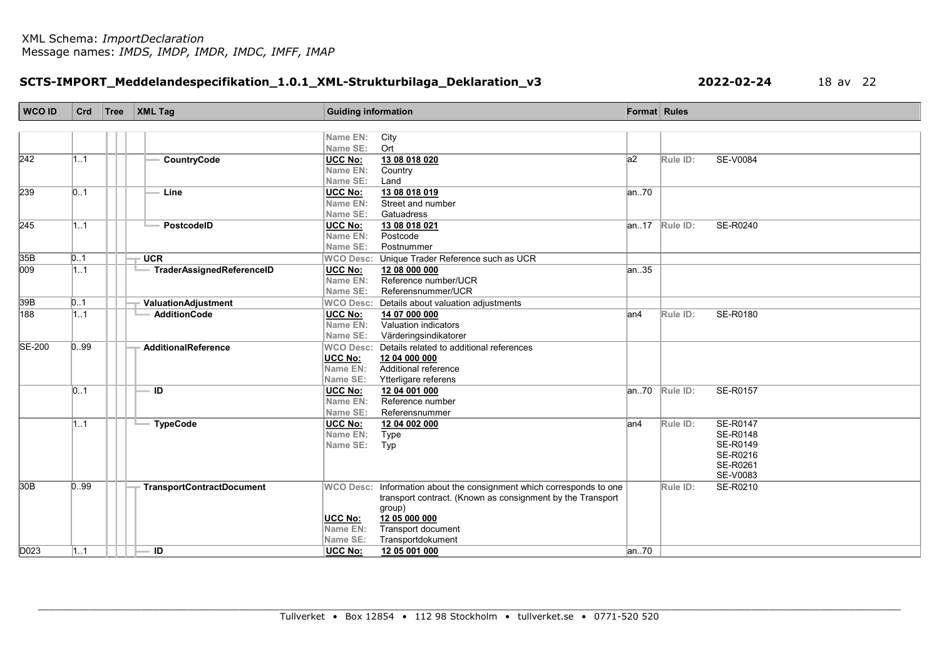# SCTS-IMPORT\_Meddelandespecifikation\_1.0.1\_XML-Strukturbilaga\_Deklaration\_v3 2022-02-24 18 av 22

| <b>WCO ID</b>   | Crd              | Tree | <b>XML Tag</b>                   | <b>Guiding information</b> |                                                                      | <b>Format</b> Rules |                                |
|-----------------|------------------|------|----------------------------------|----------------------------|----------------------------------------------------------------------|---------------------|--------------------------------|
|                 |                  |      |                                  |                            |                                                                      |                     |                                |
|                 |                  |      |                                  | Name EN:                   | City                                                                 |                     |                                |
|                 |                  |      |                                  | Name SE:                   | Ort                                                                  |                     |                                |
| 242             | 11               |      | CountryCode                      | UCC No:                    | 13 08 018 020                                                        | a2                  | SE-V0084<br>Rule ID:           |
|                 |                  |      |                                  | Name EN:                   | Country                                                              |                     |                                |
|                 |                  |      |                                  | Name SE:                   | Land                                                                 |                     |                                |
| 239             | $\vert 01 \vert$ |      | Line                             | <b>UCC No:</b>             | 13 08 018 019                                                        | an.70               |                                |
|                 |                  |      |                                  | Name EN:                   | Street and number                                                    |                     |                                |
| 245             |                  |      |                                  | Name SE:                   | Gatuadress                                                           |                     |                                |
|                 | 1.1              |      | PostcodelD                       | UCC No:                    | 13 08 018 021<br>Postcode                                            |                     | SE-R0240<br>$ an.17 $ Rule ID: |
|                 |                  |      |                                  | Name EN:<br>Name SE:       | Postnummer                                                           |                     |                                |
| 35B             | 0.1              |      | <b>UCR</b>                       |                            | WCO Desc: Unique Trader Reference such as UCR                        |                     |                                |
| 009             | 1.1              |      | TraderAssignedReferenceID        | <b>UCC No:</b>             | 12 08 000 000                                                        | an.35               |                                |
|                 |                  |      |                                  | Name EN:                   | Reference number/UCR                                                 |                     |                                |
|                 |                  |      |                                  | Name SE:                   | Referensnummer/UCR                                                   |                     |                                |
| 39B             | 0.1              |      | <b>ValuationAdjustment</b>       |                            | WCO Desc: Details about valuation adjustments                        |                     |                                |
| 188             | 1.1              |      | <b>AdditionCode</b>              | <b>UCC No:</b>             | 14 07 000 000                                                        | lan4                | SE-R0180<br>Rule ID:           |
|                 |                  |      |                                  | Name EN:                   | Valuation indicators                                                 |                     |                                |
|                 |                  |      |                                  | Name SE:                   | Värderingsindikatorer                                                |                     |                                |
| <b>SE-200</b>   | 0.99             |      | AdditionalReference              |                            | WCO Desc: Details related to additional references                   |                     |                                |
|                 |                  |      |                                  | <b>UCC No:</b>             | 12 04 000 000                                                        |                     |                                |
|                 |                  |      |                                  | Name EN:                   | Additional reference                                                 |                     |                                |
|                 |                  |      |                                  | Name SE:                   | Ytterligare referens                                                 |                     |                                |
|                 | $\vert 01 \vert$ |      | ID                               | <b>UCC No:</b>             | 12 04 001 000                                                        | an.70               | SE-R0157<br>Rule ID:           |
|                 |                  |      |                                  | Name EN:                   | Reference number                                                     |                     |                                |
|                 |                  |      |                                  | Name SE:                   | Referensnummer                                                       |                     |                                |
|                 | 11               |      | <b>TypeCode</b>                  | <b>UCC No:</b>             | 12 04 002 000                                                        | an4                 | SE-R0147<br>Rule ID:           |
|                 |                  |      |                                  | Name EN:                   | Type                                                                 |                     | <b>SE-R0148</b>                |
|                 |                  |      |                                  | Name SE:                   | Typ                                                                  |                     | SE-R0149                       |
|                 |                  |      |                                  |                            |                                                                      |                     | SE-R0216                       |
|                 |                  |      |                                  |                            |                                                                      |                     | SE-R0261                       |
|                 |                  |      |                                  |                            |                                                                      |                     | SE-V0083                       |
| 30 <sub>B</sub> | 0.99             |      | <b>TransportContractDocument</b> |                            | WCO Desc: Information about the consignment which corresponds to one |                     | SE-R0210<br>Rule ID:           |
|                 |                  |      |                                  |                            | transport contract. (Known as consignment by the Transport<br>group) |                     |                                |
|                 |                  |      |                                  | <b>UCC No:</b>             | 12 05 000 000                                                        |                     |                                |
|                 |                  |      |                                  | Name EN:                   | Transport document                                                   |                     |                                |
|                 |                  |      |                                  | Name SE:                   | Transportdokument                                                    |                     |                                |
| D023            | 1.1              |      | - ID                             | <b>UCC No:</b>             | 12 05 001 000                                                        | an.70               |                                |
|                 |                  |      |                                  |                            |                                                                      |                     |                                |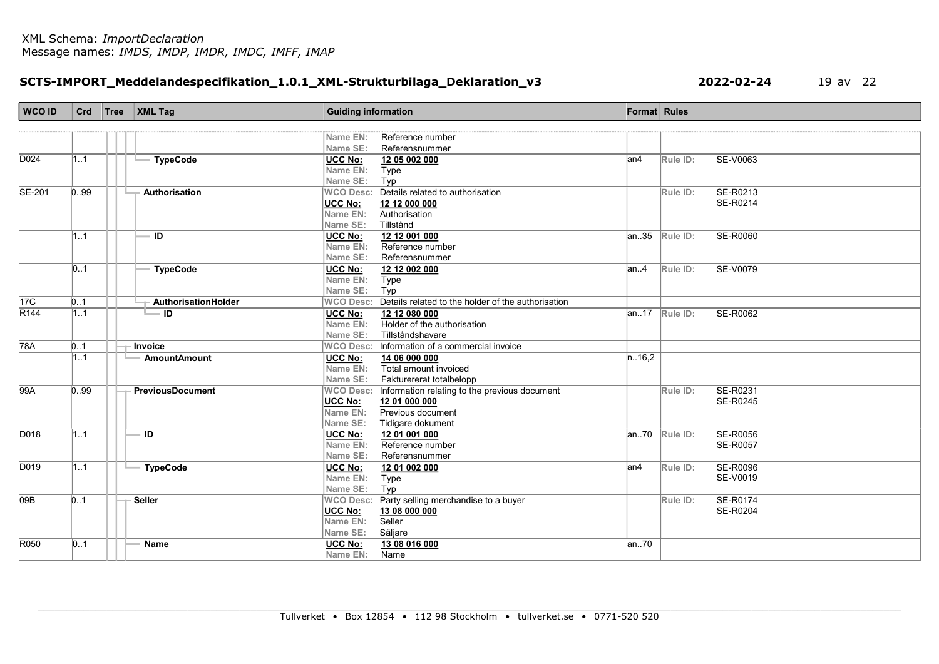# SCTS-IMPORT\_Meddelandespecifikation\_1.0.1\_XML-Strukturbilaga\_Deklaration\_v3 2022-02-24 19 av 22

| <b>WCO ID</b>     | Crd  | Tree | $\vert$ XML Tag         | <b>Guiding information</b> |                                                              | <b>Format</b> Rules |                    |                      |
|-------------------|------|------|-------------------------|----------------------------|--------------------------------------------------------------|---------------------|--------------------|----------------------|
|                   |      |      |                         |                            |                                                              |                     |                    |                      |
|                   |      |      |                         | Name EN:                   | Reference number                                             |                     |                    |                      |
|                   |      |      |                         | Name SE:                   | Referensnummer                                               |                     |                    |                      |
| D <sub>024</sub>  | 1.1  |      | <b>TypeCode</b>         | UCC No:                    | 12 05 002 000                                                | an4                 | Rule ID:           | SE-V0063             |
|                   |      |      |                         | Name EN:                   | Type                                                         |                     |                    |                      |
|                   |      |      |                         | Name SE:                   | Typ                                                          |                     |                    |                      |
| <b>SE-201</b>     | 0.99 |      | Authorisation           |                            | WCO Desc: Details related to authorisation                   |                     | Rule ID:           | SE-R0213             |
|                   |      |      |                         | <b>UCC No:</b>             | 12 12 000 000                                                |                     |                    | SE-R0214             |
|                   |      |      |                         | Name EN:                   | Authorisation                                                |                     |                    |                      |
|                   |      |      |                         | Name SE:                   | Tillstånd                                                    |                     |                    |                      |
|                   | 1.1  |      | $\overline{1}$          | <b>UCC No:</b>             | 12 12 001 000                                                |                     | $ an35 $ Rule ID:  | <b>SE-R0060</b>      |
|                   |      |      |                         | Name EN:<br>Name SE:       | Reference number<br>Referensnummer                           |                     |                    |                      |
|                   | 01   |      | <b>TypeCode</b>         |                            |                                                              | an.4                | Rule ID:           | SE-V0079             |
|                   |      |      |                         | UCC No:<br>Name EN:        | 12 12 002 000<br>Type                                        |                     |                    |                      |
|                   |      |      |                         | Name SE:                   | Typ                                                          |                     |                    |                      |
| 17 <sup>C</sup>   | 0.1  |      | AuthorisationHolder     |                            | WCO Desc: Details related to the holder of the authorisation |                     |                    |                      |
| $\overline{R144}$ | 1.1  |      | - ID                    | <b>UCC No:</b>             | 12 12 080 000                                                |                     | $ an.17 $ Rule ID: | SE-R0062             |
|                   |      |      |                         | Name EN:                   | Holder of the authorisation                                  |                     |                    |                      |
|                   |      |      |                         | Name SE:                   | Tillståndshavare                                             |                     |                    |                      |
| $\overline{78A}$  | 0.1  |      | Invoice                 |                            | WCO Desc: Information of a commercial invoice                |                     |                    |                      |
|                   | 11   |      | <b>AmountAmount</b>     | <b>UCC No:</b>             | 14 06 000 000                                                | n.16,2              |                    |                      |
|                   |      |      |                         | Name EN:                   | Total amount invoiced                                        |                     |                    |                      |
|                   |      |      |                         | Name SE:                   | Fakturererat totalbelopp                                     |                     |                    |                      |
| 99A               | 0.99 |      | <b>PreviousDocument</b> |                            | WCO Desc: Information relating to the previous document      |                     | Rule ID:           | SE-R0231             |
|                   |      |      |                         | UCC No:                    | 12 01 000 000                                                |                     |                    | SE-R0245             |
|                   |      |      |                         | Name EN:                   | Previous document                                            |                     |                    |                      |
|                   |      |      |                         | Name SE:                   | Tidigare dokument                                            |                     |                    |                      |
| D018              | 1.1  |      | ID                      | <b>UCC No:</b>             | 12 01 001 000                                                |                     | $ an.70 $ Rule ID: | SE-R0056             |
|                   |      |      |                         | Name EN:                   | Reference number                                             |                     |                    | <b>SE-R0057</b>      |
|                   |      |      |                         | Name SE:                   | Referensnummer                                               |                     |                    |                      |
| D019              | 11   |      | <b>TypeCode</b>         | UCC No:                    | 12 01 002 000                                                | lan4                | Rule ID:           | SE-R0096             |
|                   |      |      |                         | Name EN:                   | Type                                                         |                     |                    | SE-V0019             |
|                   |      |      |                         | Name SE:                   | Typ                                                          |                     |                    |                      |
| 09B               | 0.1  |      | <b>Seller</b>           | <b>WCO Desc:</b>           | Party selling merchandise to a buyer                         |                     | Rule ID:           | SE-R0174<br>SE-R0204 |
|                   |      |      |                         | <b>UCC No:</b><br>Name EN: | 13 08 000 000<br>Seller                                      |                     |                    |                      |
|                   |      |      |                         | Name SE:                   | Säljare                                                      |                     |                    |                      |
| R050              | 01   |      | <b>Name</b>             | <b>UCC No:</b>             | 13 08 016 000                                                | an70                |                    |                      |
|                   |      |      |                         | Name EN:                   | Name                                                         |                     |                    |                      |
|                   |      |      |                         |                            |                                                              |                     |                    |                      |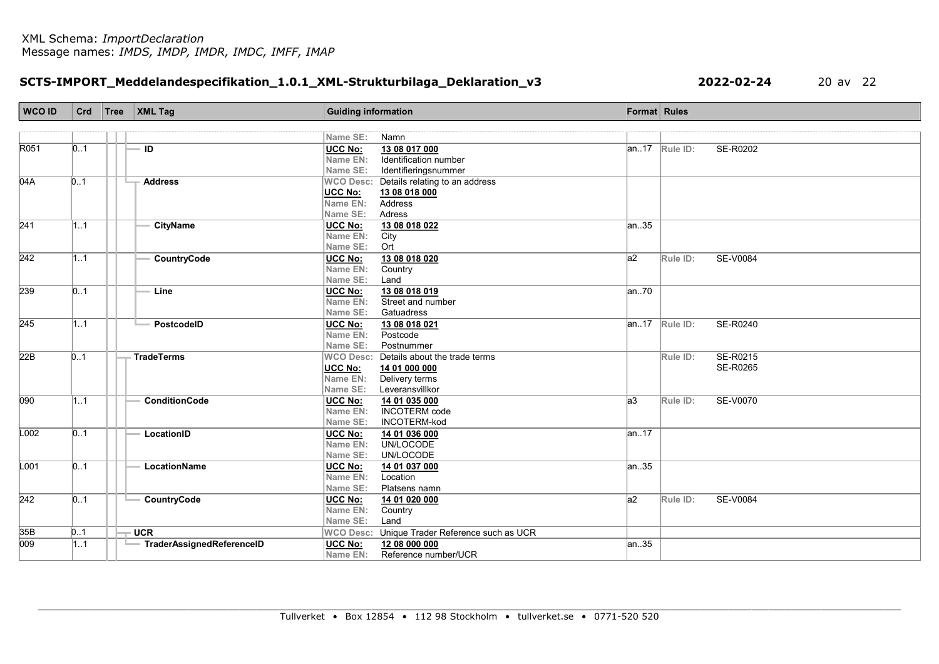# SCTS-IMPORT\_Meddelandespecifikation\_1.0.1\_XML-Strukturbilaga\_Deklaration\_v3 2022-02-24 20 av 22

| <b>WCO ID</b>    | Crd              | Tree | $\vert$ XML Tag           | <b>Guiding information</b> |                                     | Format Rules    |                                       |
|------------------|------------------|------|---------------------------|----------------------------|-------------------------------------|-----------------|---------------------------------------|
|                  |                  |      |                           |                            |                                     |                 |                                       |
|                  |                  |      |                           | Name SE:                   | Namn                                |                 |                                       |
| R051             | 0.1              |      | $\overline{1}$            | <b>UCC No:</b>             | 13 08 017 000                       |                 | <b>SE-R0202</b><br>$ an.17 $ Rule ID: |
|                  |                  |      |                           | Name EN:                   | Identification number               |                 |                                       |
|                  |                  |      |                           | Name SE:                   | Identifieringsnummer                |                 |                                       |
| 04A              | 0.1              |      | <b>Address</b>            | <b>WCO Desc:</b>           | Details relating to an address      |                 |                                       |
|                  |                  |      |                           | UCC No:                    | 13 08 018 000                       |                 |                                       |
|                  |                  |      |                           | Name EN:                   | Address                             |                 |                                       |
|                  |                  |      |                           | Name SE:                   | Adress                              |                 |                                       |
| $\overline{241}$ | 1.1              |      | <b>CityName</b>           | <b>UCC No:</b>             | 13 08 018 022                       | an.35           |                                       |
|                  |                  |      |                           | Name EN:                   | City                                |                 |                                       |
|                  |                  |      |                           | Name SE:                   | Ort                                 |                 |                                       |
| $\overline{242}$ | 1.1              |      | CountryCode               | UCC No:                    | 13 08 018 020                       | $\overline{a2}$ | <b>SE-V0084</b><br>Rule ID:           |
|                  |                  |      |                           | Name EN:                   | Country                             |                 |                                       |
|                  |                  |      |                           | Name SE:                   | Land                                |                 |                                       |
| 239              | $\vert 01 \vert$ |      | Line                      | UCC No:                    | 13 08 018 019                       | an.70           |                                       |
|                  |                  |      |                           | Name EN:                   | Street and number                   |                 |                                       |
|                  |                  |      |                           | Name SE:                   | Gatuadress                          |                 |                                       |
| 245              | 11               |      | PostcodelD                | UCC No:                    | 13 08 018 021                       |                 | $ an.17 $ Rule ID:<br>SE-R0240        |
|                  |                  |      |                           | Name EN:                   | Postcode                            |                 |                                       |
|                  |                  |      |                           | Name SE:                   | Postnummer                          |                 |                                       |
| $\overline{22B}$ | 0.1              |      | <b>TradeTerms</b>         | <b>WCO Desc:</b>           | Details about the trade terms       |                 | SE-R0215<br>Rule ID:                  |
|                  |                  |      |                           | <b>UCC No:</b>             | 14 01 000 000                       |                 | SE-R0265                              |
|                  |                  |      |                           | Name EN:                   | Delivery terms                      |                 |                                       |
|                  |                  |      |                           | Name SE:                   | Leveransvillkor                     |                 |                                       |
| 090              | 11               |      | <b>ConditionCode</b>      | UCC No:                    | 14 01 035 000                       | $ a3\rangle$    | SE-V0070<br>Rule ID:                  |
|                  |                  |      |                           | Name EN:                   | <b>INCOTERM</b> code                |                 |                                       |
|                  |                  |      |                           | Name SE:                   | INCOTERM-kod                        |                 |                                       |
| L002             | 0.1              |      | LocationID                | <b>UCC No:</b>             | 14 01 036 000                       | an.17           |                                       |
|                  |                  |      |                           | Name EN:                   | UN/LOCODE                           |                 |                                       |
|                  |                  |      |                           | Name SE:                   | UN/LOCODE                           |                 |                                       |
| L001             | 0.1              |      | LocationName              | UCC No:                    | 14 01 037 000                       | an.35           |                                       |
|                  |                  |      |                           | Name EN:                   | Location                            |                 |                                       |
|                  |                  |      |                           | Name SE:                   | Platsens namn                       |                 |                                       |
| 242              | $\vert 01 \vert$ |      | CountryCode               | UCC No:                    | 14 01 020 000                       | a2              | Rule ID:<br><b>SE-V0084</b>           |
|                  |                  |      |                           | Name EN:                   | Country                             |                 |                                       |
|                  |                  |      |                           | Name SE:                   | Land                                |                 |                                       |
| 35B              | 01               |      | <b>UCR</b>                | <b>WCO Desc:</b>           | Unique Trader Reference such as UCR |                 |                                       |
| $\overline{009}$ | 1.1              |      | TraderAssignedReferenceID | <b>UCC No:</b>             | 12 08 000 000                       | an.35           |                                       |
|                  |                  |      |                           | Name EN:                   | Reference number/UCR                |                 |                                       |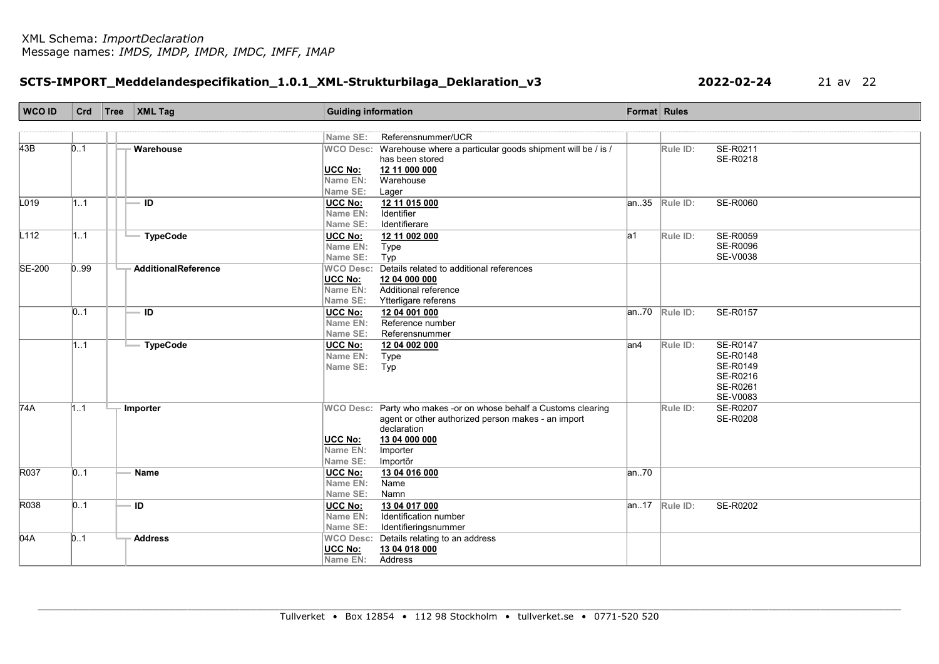# SCTS-IMPORT\_Meddelandespecifikation\_1.0.1\_XML-Strukturbilaga\_Deklaration\_v3 2022-02-24 21 av 22

| WCO ID           | Crd  | $\sqrt{\text{Tree}}$ XML Tag | <b>Guiding information</b> |                                                                      | Format Rules |                               |                 |
|------------------|------|------------------------------|----------------------------|----------------------------------------------------------------------|--------------|-------------------------------|-----------------|
|                  |      |                              |                            |                                                                      |              |                               |                 |
|                  |      |                              | Name SE:                   | Referensnummer/UCR                                                   |              |                               |                 |
| 43B              | 0.1  | Warehouse                    |                            | WCO Desc: Warehouse where a particular goods shipment will be / is / |              | Rule ID:                      | SE-R0211        |
|                  |      |                              |                            | has been stored                                                      |              |                               | SE-R0218        |
|                  |      |                              | <b>UCC No:</b>             | 12 11 000 000                                                        |              |                               |                 |
|                  |      |                              | Name EN:                   | Warehouse                                                            |              |                               |                 |
|                  |      |                              | Name SE:                   | Lager                                                                |              |                               |                 |
| L <sub>019</sub> | 1.1  | ID                           | <b>UCC No:</b>             | 12 11 015 000                                                        | an35         | Rule ID:                      | SE-R0060        |
|                  |      |                              | Name EN:                   | Identifier                                                           |              |                               |                 |
|                  |      |                              | Name SE:                   | Identifierare                                                        |              |                               |                 |
| L112             | 1.1  | <b>TypeCode</b>              | <b>UCC No:</b>             | 12 11 002 000                                                        | la1          | Rule ID:                      | <b>SE-R0059</b> |
|                  |      |                              | Name EN:                   | Type                                                                 |              |                               | <b>SE-R0096</b> |
|                  |      |                              | Name SE:                   | Typ                                                                  |              |                               | <b>SE-V0038</b> |
| <b>SE-200</b>    | 0.99 | AdditionalReference          |                            | WCO Desc: Details related to additional references                   |              |                               |                 |
|                  |      |                              | <b>UCC No:</b>             | 12 04 000 000                                                        |              |                               |                 |
|                  |      |                              | Name EN:                   | Additional reference                                                 |              |                               |                 |
|                  |      |                              | Name SE:                   | Ytterligare referens                                                 |              |                               |                 |
|                  | 01   | ID                           | UCC No:                    | 12 04 001 000                                                        | an.70        | Rule ID:                      | SE-R0157        |
|                  |      |                              | Name EN:                   | Reference number                                                     |              |                               |                 |
|                  |      |                              | Name SE:                   | Referensnummer                                                       |              |                               |                 |
|                  | 11   | <b>TypeCode</b>              | UCC No:                    | 12 04 002 000                                                        | lan4         | Rule ID:                      | SE-R0147        |
|                  |      |                              | Name EN:                   | Type                                                                 |              |                               | <b>SE-R0148</b> |
|                  |      |                              | Name SE:                   | Typ                                                                  |              |                               | SE-R0149        |
|                  |      |                              |                            |                                                                      |              |                               | SE-R0216        |
|                  |      |                              |                            |                                                                      |              |                               | SE-R0261        |
|                  |      |                              |                            |                                                                      |              |                               | SE-V0083        |
| 74A              | 1.1  | Importer                     |                            | WCO Desc: Party who makes -or on whose behalf a Customs clearing     |              | Rule ID:                      | SE-R0207        |
|                  |      |                              |                            | agent or other authorized person makes - an import                   |              |                               | SE-R0208        |
|                  |      |                              |                            | declaration                                                          |              |                               |                 |
|                  |      |                              | <b>UCC No:</b><br>Name EN: | 13 04 000 000                                                        |              |                               |                 |
|                  |      |                              |                            | Importer                                                             |              |                               |                 |
| R037             |      |                              | Name SE:                   | Importör                                                             |              |                               |                 |
|                  | 0.1  | Name                         | UCC No:<br>Name EN:        | 13 04 016 000<br>Name                                                | an.70        |                               |                 |
|                  |      |                              |                            |                                                                      |              |                               |                 |
| R038             |      | ID                           | Name SE:                   | Namn                                                                 |              |                               |                 |
|                  | 0.1  |                              | <b>UCC No:</b>             | 13 04 017 000<br>Identification number                               |              | $\vert$ an17 $\vert$ Rule ID: | SE-R0202        |
|                  |      |                              | Name EN:                   |                                                                      |              |                               |                 |
|                  |      |                              | Name SE:                   | Identifieringsnummer                                                 |              |                               |                 |
| 04A              | 0.1  | <b>Address</b>               | <b>WCO Desc:</b>           | Details relating to an address                                       |              |                               |                 |
|                  |      |                              | UCC No:                    | 13 04 018 000                                                        |              |                               |                 |
|                  |      |                              | Name EN:                   | Address                                                              |              |                               |                 |